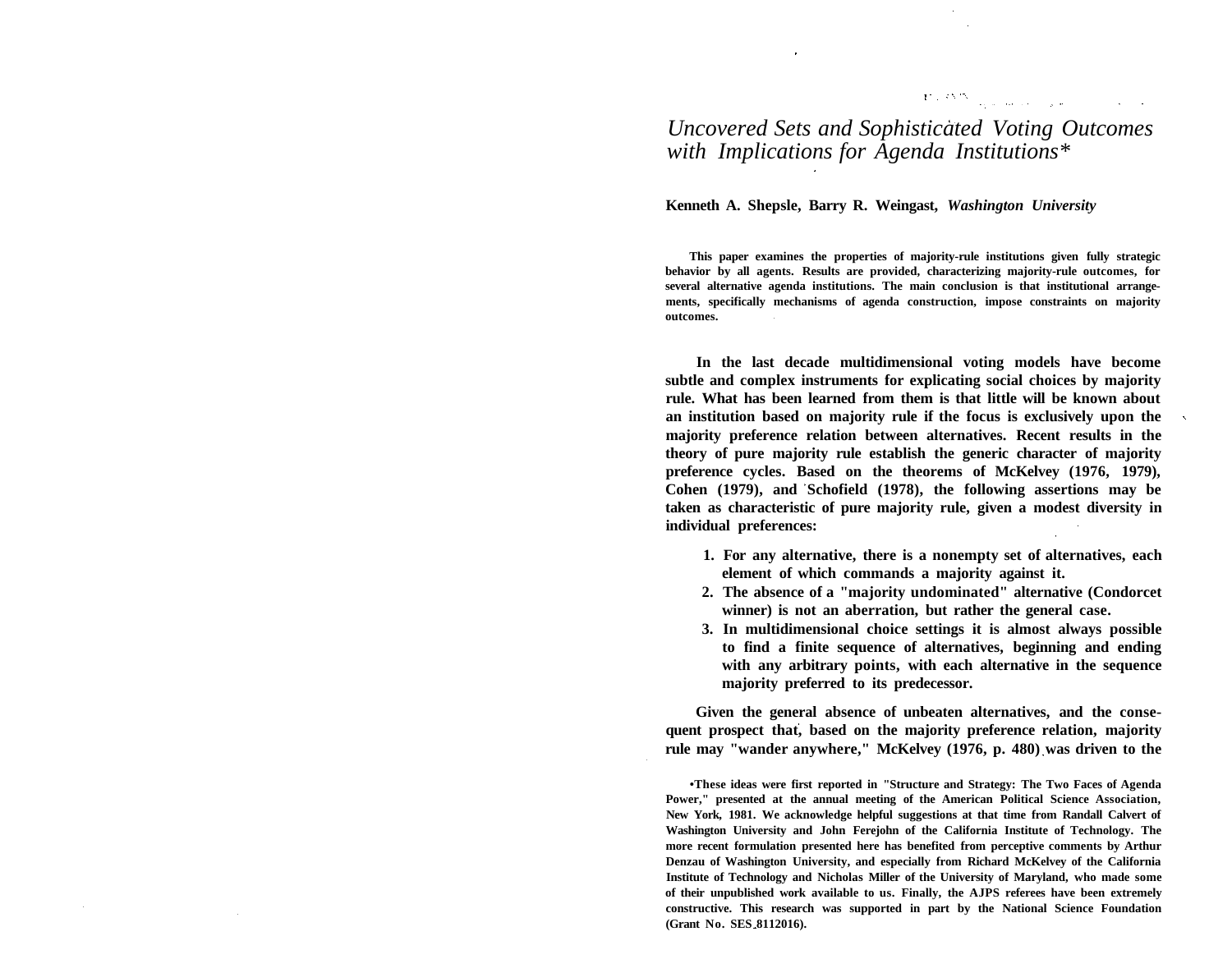## $\mathbf{U} \in \mathbf{C}^{N\times N}$  , and the contribution  $\mathbf{V}$

# *Uncovered Sets and Sophisticated Voting Outcomes with Implications for Agenda Institutions\**

**Kenneth A. Shepsle, Barry R. Weingast,** *Washington University*

**This paper examines the properties of majority-rule institutions given fully strategic behavior by all agents. Results are provided, characterizing majority-rule outcomes, for several alternative agenda institutions. The main conclusion is that institutional arrangements, specifically mechanisms of agenda construction, impose constraints on majority outcomes.**

**In the last decade multidimensional voting models have become subtle and complex instruments for explicating social choices by majority rule. What has been learned from them is that little will be known about an institution based on majority rule if the focus is exclusively upon the majority preference relation between alternatives. Recent results in the theory of pure majority rule establish the generic character of majority preference cycles. Based on the theorems of McKelvey (1976, 1979),** Cohen (1979), and Schofield (1978), the following assertions may be **taken as characteristic of pure majority rule, given a modest diversity in individual preferences:**

- **1. For any alternative, there is a nonempty set of alternatives, each element of which commands a majority against it.**
- **2. The absence of a "majority undominated" alternative (Condorcet winner) is not an aberration, but rather the general case.**
- **3. In multidimensional choice settings it is almost always possible to find a finite sequence of alternatives, beginning and ending with any arbitrary points, with each alternative in the sequence majority preferred to its predecessor.**

**Given the general absence of unbeaten alternatives, and the consequent prospect that, based on the majority preference relation, majority rule may "wander anywhere," McKelvey (1976, p. 480) was driven to the**

**•These ideas were first reported in "Structure and Strategy: The Two Faces of Agenda Power," presented at the annual meeting of the American Political Science Association, New York, 1981. We acknowledge helpful suggestions at that time from Randall Calvert of Washington University and John Ferejohn of the California Institute of Technology. The more recent formulation presented here has benefited from perceptive comments by Arthur Denzau of Washington University, and especially from Richard McKelvey of the California Institute of Technology and Nicholas Miller of the University of Maryland, who made some of their unpublished work available to us. Finally, the AJPS referees have been extremely constructive. This research was supported in part by the National Science Foundation (Grant No. SES 8112016).**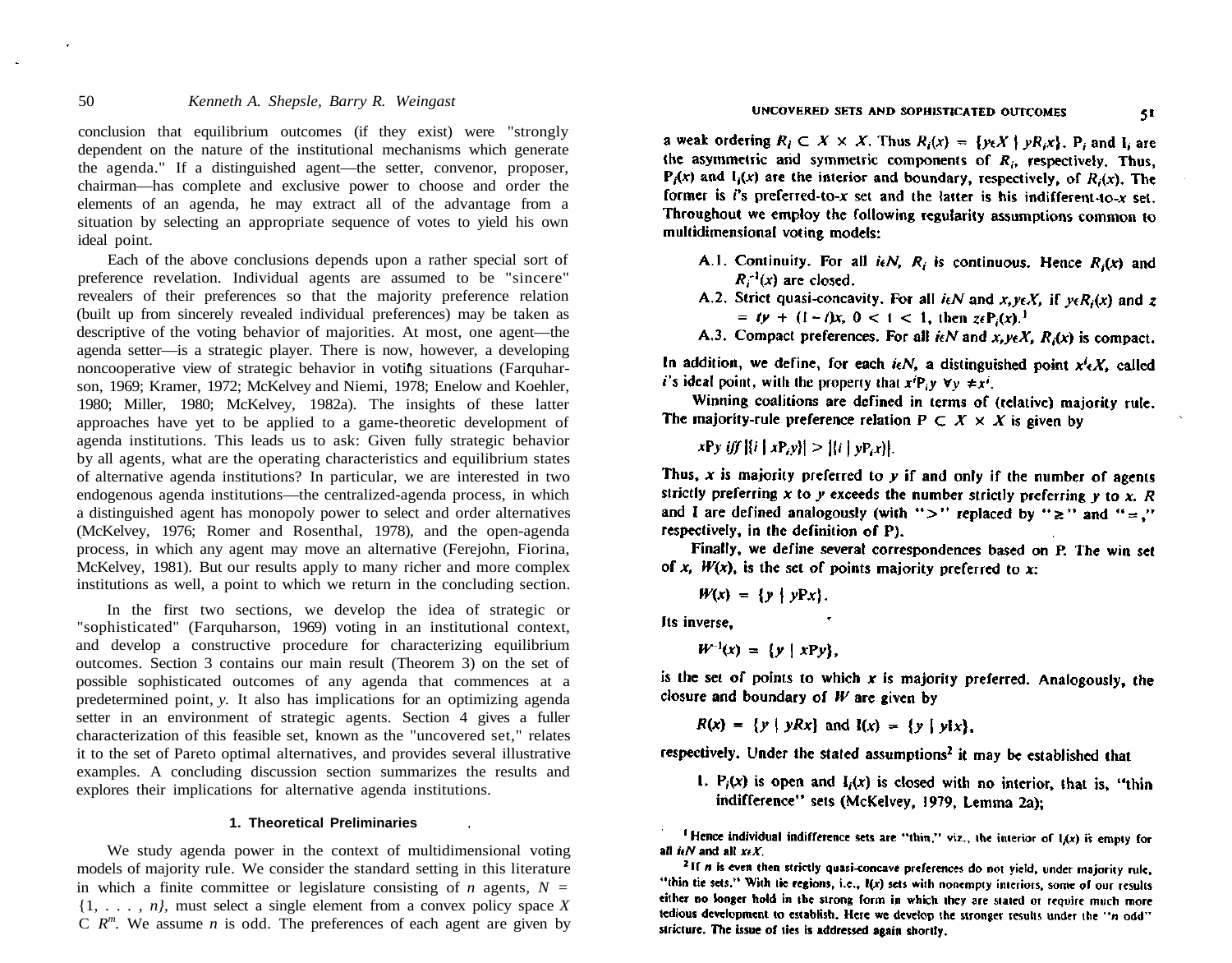conclusion that equilibrium outcomes (if they exist) were "strongly dependent on the nature of the institutional mechanisms which generate the agenda." If a distinguished agent—the setter, convenor, proposer, chairman—has complete and exclusive power to choose and order the elements of an agenda, he may extract all of the advantage from a situation by selecting an appropriate sequence of votes to yield his own ideal point.

Each of the above conclusions depends upon a rather special sort of preference revelation. Individual agents are assumed to be "sincere" revealers of their preferences so that the majority preference relation (built up from sincerely revealed individual preferences) may be taken as descriptive of the voting behavior of majorities. At most, one agent—the agenda setter—is a strategic player. There is now, however, a developing noncooperative view of strategic behavior in voting situations (Farquharson, 1969; Kramer, 1972; McKelvey and Niemi, 1978; Enelow and Koehler, 1980; Miller, 1980; McKelvey, 1982a). The insights of these latter approaches have yet to be applied to a game-theoretic development of agenda institutions. This leads us to ask: Given fully strategic behavior by all agents, what are the operating characteristics and equilibrium states of alternative agenda institutions? In particular, we are interested in two endogenous agenda institutions—the centralized-agenda process, in which a distinguished agent has monopoly power to select and order alternatives (McKelvey, 1976; Romer and Rosenthal, 1978), and the open-agenda process, in which any agent may move an alternative (Ferejohn, Fiorina, McKelvey, 1981). But our results apply to many richer and more complex institutions as well, a point to which we return in the concluding section.

In the first two sections, we develop the idea of strategic or "sophisticated" (Farquharson, 1969) voting in an institutional context, and develop a constructive procedure for characterizing equilibrium outcomes. Section 3 contains our main result (Theorem 3) on the set of possible sophisticated outcomes of any agenda that commences at a predetermined point, *y.* It also has implications for an optimizing agenda setter in an environment of strategic agents. Section 4 gives a fuller characterization of this feasible set, known as the "uncovered set," relates it to the set of Pareto optimal alternatives, and provides several illustrative examples. A concluding discussion section summarizes the results and explores their implications for alternative agenda institutions.

#### **1. Theoretical Preliminaries**

We study agenda power in the context of multidimensional voting models of majority rule. We consider the standard setting in this literature in which a finite committee or legislature consisting of *n* agents,  $N =$ {1, . . . , *n},* must select a single element from a convex policy space *X*  $C$   $R^m$ . We assume *n* is odd. The preferences of each agent are given by

a weak ordering  $R_i \subset X \times X$ . Thus  $R_i(x) = \{y \in X \mid pR_i x\}$ . P; and I; are the asymmetric and symmetric components of  $R_i$ , respectively. Thus,  $P_i(x)$  and  $I_i(x)$  are the interior and boundary, respectively, of  $R_i(x)$ . The former is  $i$ 's preferred-to-x set and the latter is his indifferent-to-x set. Throughout we employ the following regularity assumptions common to multidimensional voting models:

- A.1. Continuity. For all  $i \in N$ ,  $R_i$  is continuous. Hence  $R_i(x)$  and  $R_i^{-1}(x)$  are closed.
- A.2. Strict quasi-concavity. For all  $i \in N$  and x,  $y \in X$ , if  $y \in R_i(x)$  and z  $= ty + (1 - t)x$ ,  $0 < t < 1$ , then  $z \in P_1(x)$ .
- A.3. Compact preferences. For all  $i\epsilon N$  and  $x, y\epsilon X$ ,  $R_i(x)$  is compact.

In addition, we define, for each  $i\epsilon N$ , a distinguished point  $x^i\epsilon X$ , called *i*'s ideal point, with the property that  $x^{i}P_{i}y \forall v \neq x^{i}$ .

Winning coalitions are defined in terms of (relative) majority rule. The majority-rule preference relation  $P \subset X \times X$  is given by

 $xPy iff$   $\{i | xPy\} > \{i | yPx\}$ .

Thus, x is majority preferred to  $y$  if and only if the number of agents strictly preferring x to y exceeds the number strictly preferring  $y$  to x. R and I are defined analogously (with ">" replaced by " $\geq$ " and " $=$ ." respectively, in the definition of P).

Finally, we define several correspondences based on P. The win set of x,  $W(x)$ , is the set of points majority preferred to x:

 $W(x) = \{y \mid yPx\}.$ 

Its inverse.

 $W^{-1}(x) = \{y \mid xPy\}.$ 

is the set of points to which x is majority preferred. Analogously, the closure and boundary of  $W$  are given by

$$
R(x) = \{y \mid yRx\} \text{ and } l(x) = \{y \mid ylx\},\
$$

respectively. Under the stated assumptions<sup>2</sup> it may be established that

1.  $P_i(x)$  is open and  $I_i(x)$  is closed with no interior, that is, "thin indifference" sets (McKelvey, 1979, Lemma 2a):

<sup>1</sup> Hence individual indifference sets are "thin," viz., the interior of  $I(x)$  is empty for all  $i \epsilon N$  and all  $x \epsilon X$ .

<sup>&</sup>lt;sup>2</sup>If *n* is even then strictly quasi-concave preferences do not yield, under majority rule, "thin tie sets." With tie regions, i.e., I(x) sets with nonempty interiors, some of our results either no longer hold in the strong form in which they are stated or require much more tedious development to establish. Here we develop the stronger results under the "n odd" stricture. The issue of ties is addressed again shortly,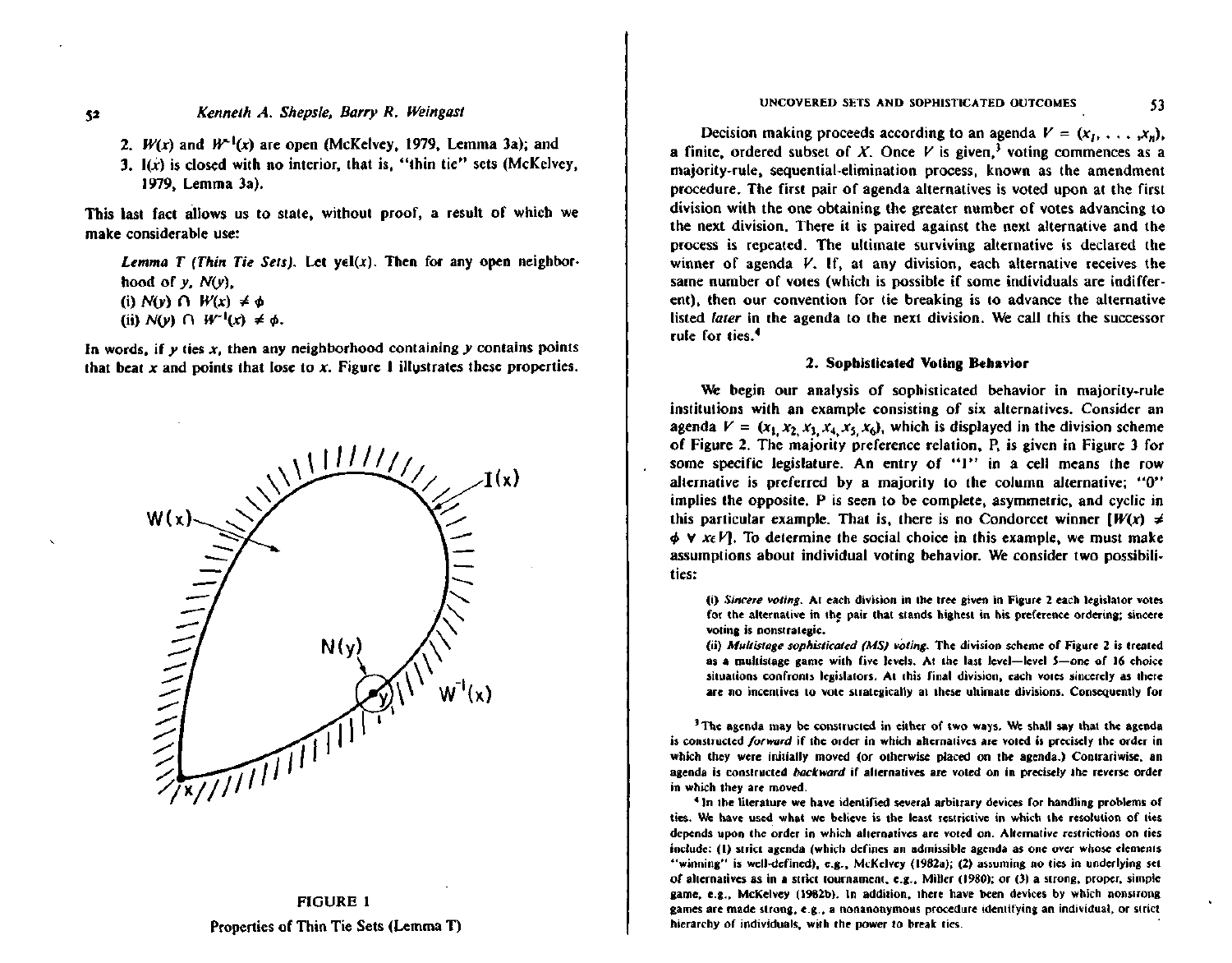52

- 2.  $W(x)$  and  $W^{-1}(x)$  are open (McKelvey, 1979, Lemma 3a); and
- 3. I(x) is closed with no interior, that is, "thin tie" sets (McKelvey, 1979, Lemma 3a).

This last fact allows us to state, without proof, a result of which we make considerable use:

Lemma T (Thin Tie Sets). Let  $y \in I(x)$ . Then for any open neighborhood of  $y$ ,  $N(y)$ , (i)  $N(v)$   $\cap$   $W(x) \neq \phi$ 

(ii)  $N(y)$   $\cap$   $W^{-1}(x) \neq \phi$ .

In words, if  $y$  ties  $x$ , then any neighborhood containing  $y$  contains points that beat  $x$  and points that lose to  $x$ . Figure 1 illustrates these properties.





#### UNCOVERED SETS AND SOPHISTICATED OUTCOMES

53

Decision making proceeds according to an agenda  $V = (x_1, \ldots, x_n)$ , a finite, ordered subset of X. Once V is given,<sup>3</sup> voting commences as a majority-rule, sequential-elimination process, known as the amendment procedure. The first pair of agenda alternatives is voted upon at the first division with the one obtaining the greater number of votes advancing to the next division. There it is paired against the next alternative and the process is repeated. The ultimate surviving alternative is declared the winner of agenda  $V$ . If, at any division, each alternative receives the same number of votes (which is possible if some individuals are indifferent), then our convention for tie breaking is to advance the alternative listed *later* in the agenda to the next division. We call this the successor rule for ties.<sup>4</sup>

#### 2. Sophisticated Voting Behavior

We begin our analysis of sophisticated behavior in majority-rule institutions with an example consisting of six alternatives. Consider an agenda  $V = (x_1, x_2, x_3, x_4, x_5, x_6)$ , which is displayed in the division scheme of Figure 2. The majority preference relation, P, is given in Figure 3 for some specific legislature. An entry of "1" in a cell means the row alternative is preferred by a majority to the column alternative: "0" implies the opposite. P is seen to be complete, asymmetric, and cyclic in this particular example. That is, there is no Condorcet winner  $[W(x)] \neq$  $\phi$   $\forall$  x<sub>e</sub> $V$ . To determine the social choice in this example, we must make assumptions about individual voting behavior. We consider two possibilities:

(i) Sincere voting. At each division in the tree given in Figure 2 each legislator votes for the alternative in the pair that stands highest in his preference ordering; sincere voting is nonstrategic.

(ii) Multistage sophisticated (MS) voting. The division scheme of Figure 2 is treated as a multistage game with five levels. At the last level—level 5—one of 16 choice situations confronts legislators. At this final division, each votes sincerely as there are no incentives to vote strategically at these ultimate divisions. Consequently for

<sup>3</sup> The agenda may be constructed in either of two ways. We shall say that the agenda is constructed forward if the order in which alternatives are voted is precisely the order in which they were initially moved (or otherwise placed on the agenda.) Contrariwise, an agenda is constructed backward if alternatives are voted on in precisely the reverse order in which they are moved.

<sup>4</sup> In the literature we have identified several arbitrary devices for handling problems of ties. We have used what we believe is the least restrictive in which the resolution of ties depends upon the order in which alternatives are voted on. Alternative restrictions on ties include: (1) strict agenda (which defines an admissible agenda as one over whose elements "winning" is well-defined), e.g., McKelvey (1982a); (2) assuming no ties in underlying set of alternatives as in a strict tournament, e.g., Miller (1980); or (3) a strong, proper, simple game, e.g., McKelvey (1982b). In addition, there have been devices by which nonstrong games are made strong, e.g., a nonanonymous procedure identifying an individual, or strict hierarchy of individuals, with the power to break ties.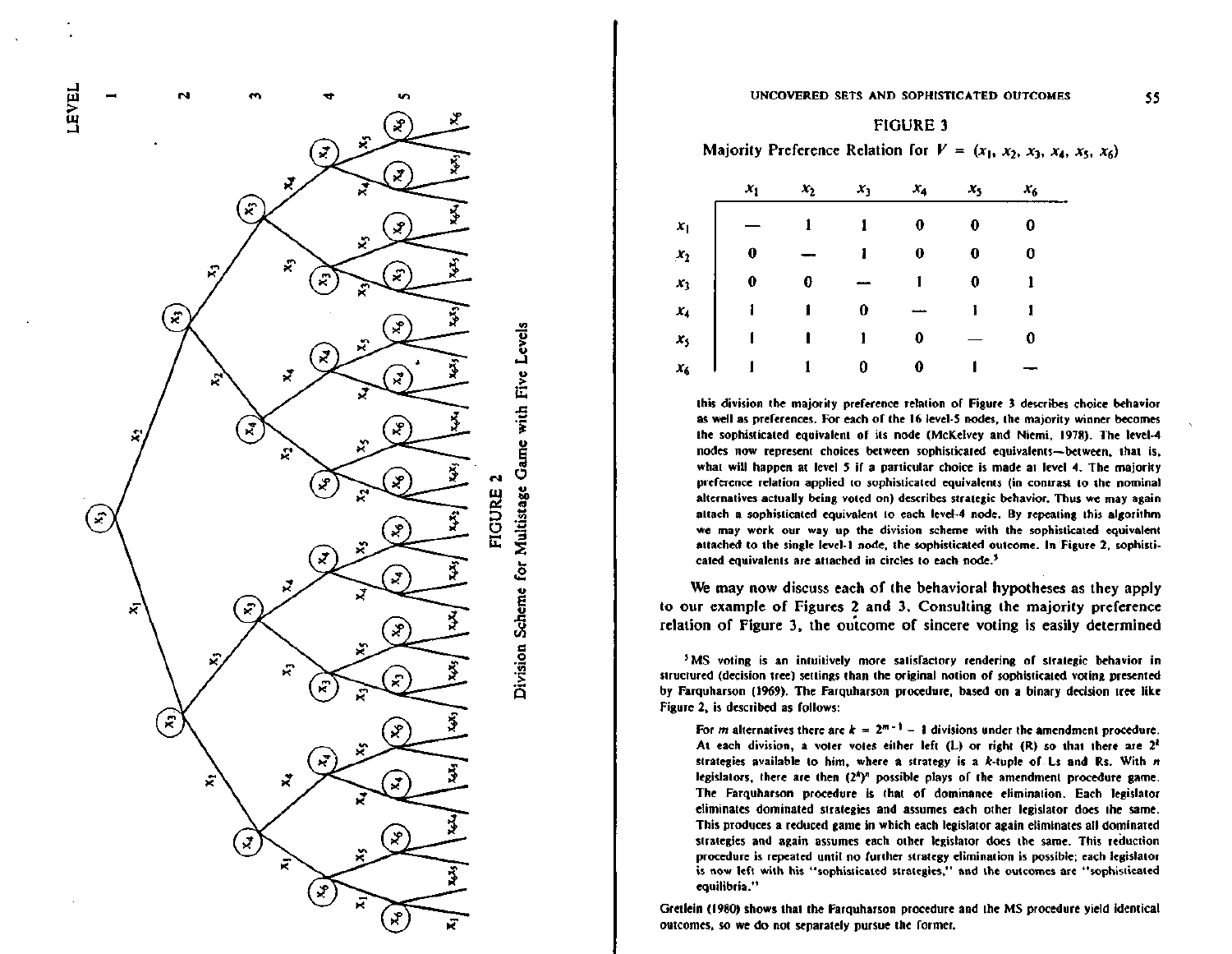

Division Scheme for Multistage Game with Five Levels

**FIGURE 2** 

ىر

Ø

£

 $\mathbf{x}$ 

÷.

₹

÷.

Ř

₹

່ຕ

Ŕ,

Ñ

R

Ñ

್ಲ



Majority Preference Relation for  $V = (x_1, x_2, x_3, x_4, x_5, x_6)$ 

|         | $x_1$ | $x_2$ | $x_1$ | $x_4$ | $x_{5}$ | $x_{6}$ |
|---------|-------|-------|-------|-------|---------|---------|
| $x_1$   |       |       | 1     | 0     |         | 0       |
| $x_2$   | 0     |       |       | 0     | 0       | 0       |
| $x_3$   | 0     | 0     |       |       | 0       |         |
| $x_4$   |       |       | 0     |       |         |         |
| $x_{5}$ |       |       |       | 0     |         | 0       |
| $x_{6}$ |       |       | 0     | 0     |         |         |

this division the majority preference relation of Figure 3 describes choice behavior as well as preferences. For each of the 16 level-5 nodes, the majority winner becomes the sophisticated equivalent of its node (McKelvey and Niemi, 1978). The level-4 nodes now represent choices between sophisticated equivalents-between, that is, what will happen at level 5 if a particular choice is made at level 4. The majority preference relation applied to sophisticated equivalents (in contrast to the nominal alternatives actually being voted on) describes strategic behavior. Thus we may again attach a sophisticated equivalent to each level-4 node. By repeating this algorithm we may work our way up the division scheme with the sophisticated equivalent attached to the single level-1 node, the sophisticated outcome. In Figure 2, sophisticated equivalents are attached in circles to each node.<sup>5</sup>

We may now discuss each of the behavioral hypotheses as they apply to our example of Figures 2 and 3. Consulting the majority preference relation of Figure 3, the outcome of sincere voting is easily determined

<sup>5</sup>MS voting is an intuitively more satisfactory rendering of strategic behavior in structured (decision tree) settings than the original notion of sophisticated voting presented by Farquharson (1969). The Farquharson procedure, based on a binary decision tree like Figure 2, is described as follows:

For *m* alternatives there are  $k = 2^{m-1} - 1$  divisions under the amendment procedure. At each division, a voter votes either left (L) or right (R) so that there are  $2^k$ strategies available to him, where a strategy is a k-tuple of Ls and Rs. With  $n$ legislators, there are then  $(2^4)^n$  possible plays of the amendment procedure game. The Farquharson procedure is that of dominance elimination. Each legislator eliminates dominated strategies and assumes each other legislator does the same. This produces a reduced game in which each legislator again eliminates all dominated strategies and again assumes each other legislator does the same. This reduction procedure is repeated until no further strategy elimination is possible; each legislator is now left with his "sophisticated strategies," and the outcomes are "sophisticated equilibria."

Gretlein (1980) shows that the Farguharson procedure and the MS procedure yield identical outcomes, so we do not separately pursue the former.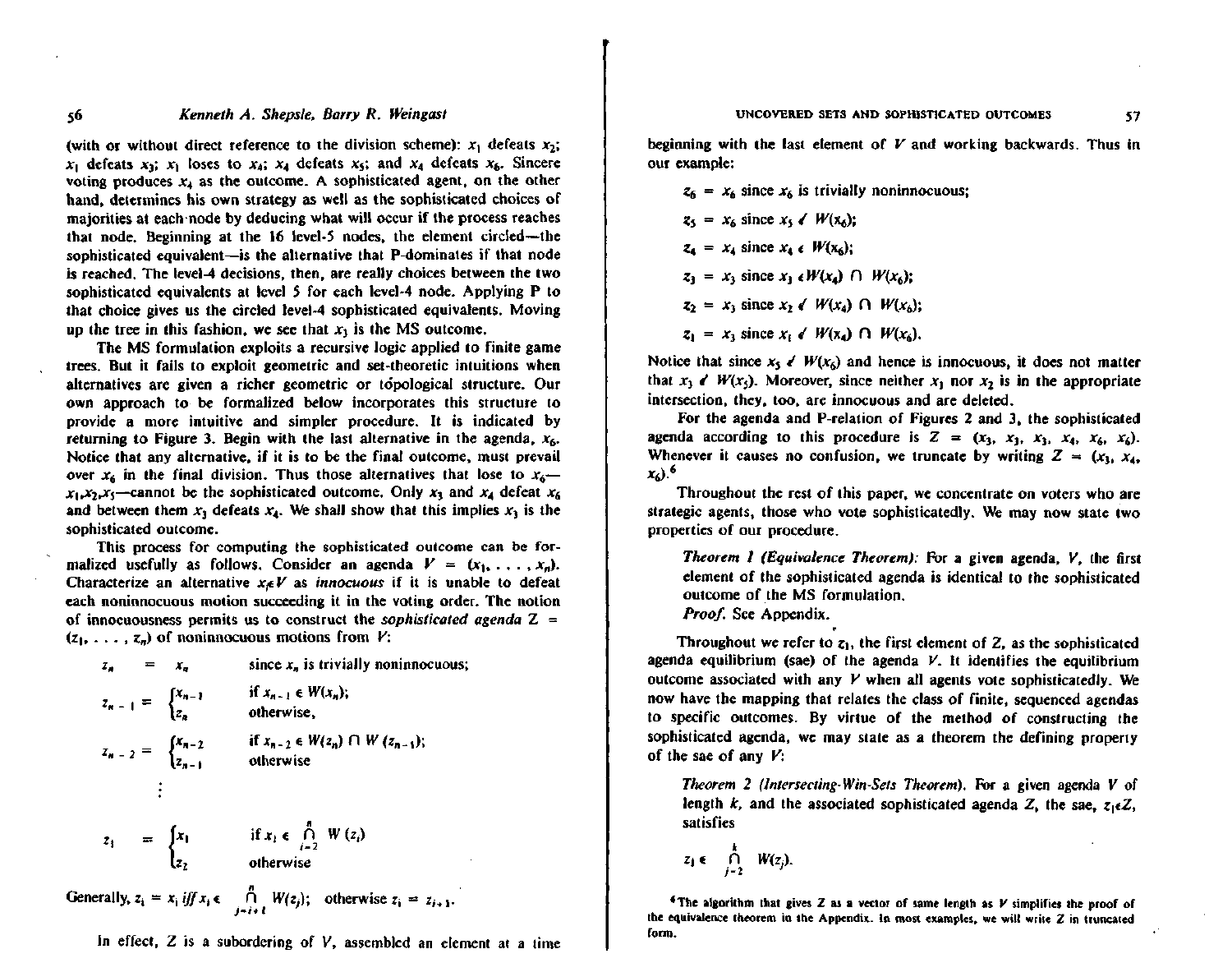#### UNCOVERED SETS AND SOPHISTICATED OUTCOMES

## Kenneth A. Shepsle, Barry R. Weingast

56

(with or without direct reference to the division scheme):  $x_1$  defeats  $x_2$ ;  $x_1$  defeats  $x_3$ ;  $x_1$  loses to  $x_4$ ;  $x_4$  defeats  $x_5$ ; and  $x_4$  defeats  $x_6$ . Sincere voting produces  $x_4$  as the outcome. A sophisticated agent, on the other hand, determines his own strategy as well as the sophisticated choices of majorities at each node by deducing what will occur if the process reaches that node. Beginning at the 16 level-5 nodes, the element circled—the sophisticated equivalent—is the alternative that P-dominates if that node is reached. The level-4 decisions, then, are really choices between the two sophisticated equivalents at level 5 for each level-4 node. Applying P to that choice gives us the circled level-4 sophisticated equivalents. Moving up the tree in this fashion, we see that  $x<sub>1</sub>$  is the MS outcome.

The MS formulation exploits a recursive logic applied to finite game trees. But it fails to exploit geometric and set-theoretic intuitions when alternatives are given a richer geometric or topological structure. Our own approach to be formalized below incorporates this structure to provide a more intuitive and simpler procedure. It is indicated by returning to Figure 3. Begin with the last alternative in the agenda,  $x_6$ . Notice that any alternative, if it is to be the final outcome, must prevail over  $x_6$  in the final division. Thus those alternatives that lose to  $x_6$   $x_1, x_2, x_5$ —cannot be the sophisticated outcome. Only  $x_3$  and  $x_4$  defeat  $x_6$ and between them  $x_3$  defeats  $x_4$ . We shall show that this implies  $x_3$  is the sophisticated outcome.

This process for computing the sophisticated outcome can be formalized usefully as follows. Consider an agenda  $V = (x_1, \ldots, x_n)$ . Characterize an alternative  $x_i \in V$  as *innocuous* if it is unable to defeat each noninnocuous motion succeeding it in the voting order. The notion of innocuousness permits us to construct the sophisticated agenda  $Z =$  $(z_1, \ldots, z_n)$  of noninnocuous motions from  $V$ :

$$
z_n = x_n \qquad \text{since } x_n \text{ is trivially noninnocuous};
$$
  
\n
$$
z_{n-1} = \begin{cases} x_{n-1} & \text{if } x_{n-1} \in W(x_n); \\ z_n & \text{otherwise}; \end{cases}
$$
  
\n
$$
z_{n-2} = \begin{cases} x_{n-2} & \text{if } x_{n-2} \in W(z_n) \cap W(z_{n-1}); \\ z_{n-1} & \text{otherwise} \end{cases}
$$
  
\n
$$
\vdots
$$
  
\n
$$
z_3 = \begin{cases} x_1 & \text{if } x_1 \in \bigcap_{i=2}^n W(z_i) \\ z_2 & \text{otherwise} \end{cases}
$$
  
\nGenerally,  $z_i = x_i \text{ iff } x_i \in \bigcap_{j=i+1}^n W(z_j); \text{ otherwise } z_i = z_{i+1}.$ 

In effect,  $Z$  is a subordering of  $V$ , assembled an element at a time

beginning with the last element of  $V$  and working backwards. Thus in our example:

 $z_6 = x_6$  since  $x_6$  is trivially noninnocuous;  $z_5 = x_6$  since  $x_5 \neq W(x_6)$ :  $z_4 = x_4$  since  $x_4 \in W(x_4)$ ;  $z_1 = x_1$  since  $x_1 \in W(x_4)$   $\cap W(x_6)$ ;  $z_2 = x_1$  since  $x_2 \notin W(x_4)$   $\cap W(x_4)$ ;  $z_1 = x_1$  since  $x_i \notin W(x_4) \cap W(x_5)$ .

Notice that since  $x_5 \neq W(x_6)$  and hence is innocuous, it does not matter that  $x_1 \in W(x_1)$ . Moreover, since neither  $x_1$  nor  $x_2$  is in the appropriate intersection, they, too, are innocuous and are deleted.

For the agenda and P-relation of Figures 2 and 3, the sophisticated agenda according to this procedure is  $Z = (x_3, x_3, x_3, x_4, x_6, x_6)$ . Whenever it causes no confusion, we truncate by writing  $Z = (x_1, x_4, x_5, x_6, x_7, x_8, x_9, x_1, x_1, x_2, x_3, x_4, x_5, x_6, x_7, x_8, x_9, x_1, x_2, x_3, x_4, x_5, x_6, x_7, x_8, x_9, x_1, x_2, x_3, x_4, x_5, x_6, x_7, x_8, x_9, x_1, x_2, x_3, x_4, x_6, x$  $x_6$ ).<sup>6</sup>

Throughout the rest of this paper, we concentrate on voters who are strategic agents, those who vote sophisticatedly. We may now state two properties of our procedure.

Theorem 1 (Equivalence Theorem): For a given agenda, V, the first element of the sophisticated agenda is identical to the sophisticated outcome of the MS formulation, *Proof.* See Appendix.

Throughout we refer to  $z_1$ , the first element of Z, as the sophisticated agenda equilibrium (sae) of the agenda  $V$ . It identifies the equilibrium outcome associated with any V when all agents vote sophisticatedly. We now have the mapping that relates the class of finite, sequenced agendas to specific outcomes. By virtue of the method of constructing the sophisticated agenda, we may state as a theorem the defining property of the sae of any  $V$ :

Theorem 2 (Intersecting-Win-Sets Theorem). For a given agenda V of length k, and the associated sophisticated agenda Z, the sae,  $z_1 \in Z$ , satisfies

$$
z_1 \in \bigcap_{j=2}^k W(z_j).
$$

The algorithm that gives Z as a vector of same length as  $V$  simplifies the proof of the equivalence theorem in the Appendix. In most examples, we will write  $Z$  in truncated form.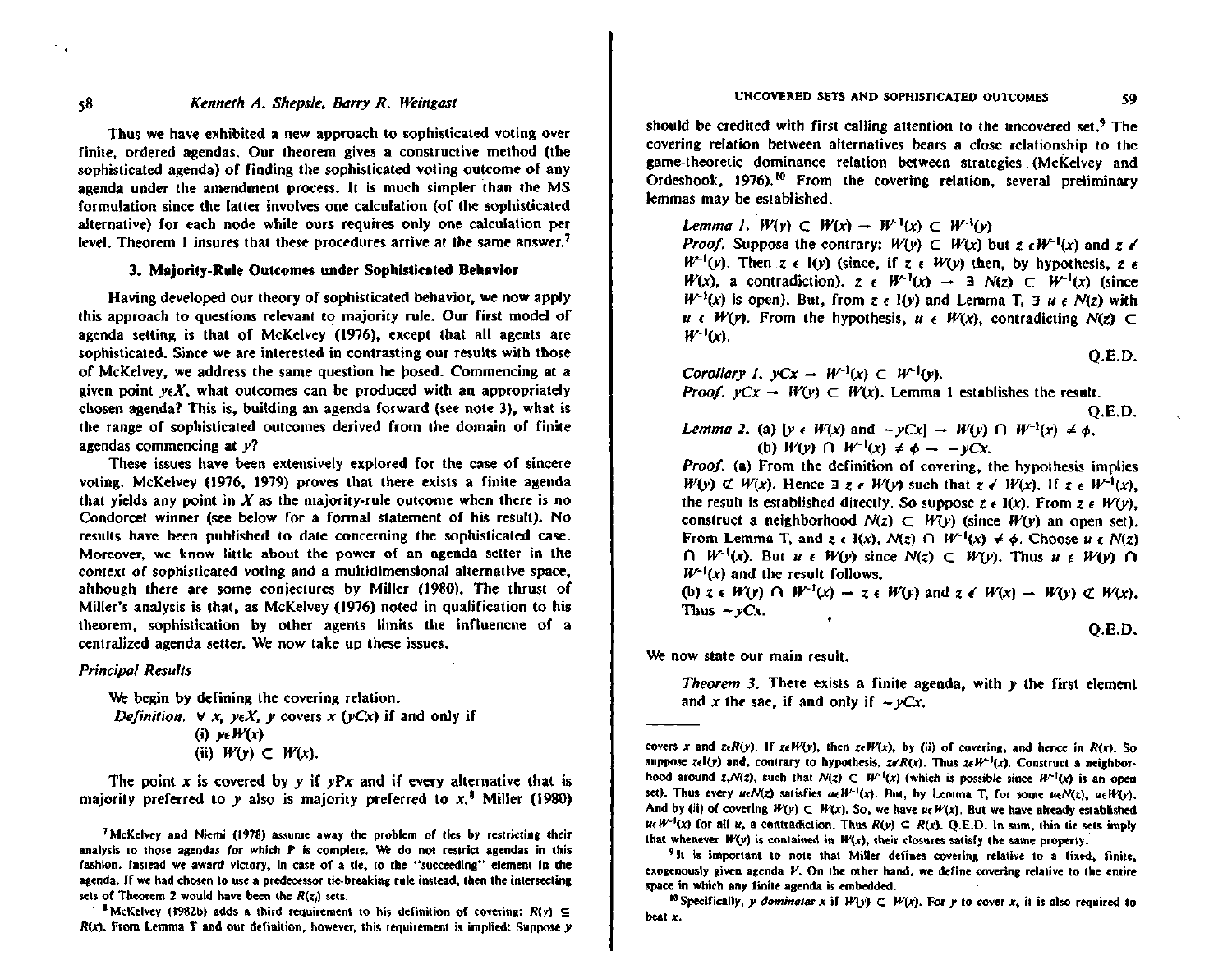Thus we have exhibited a new approach to sophisticated voting over finite, ordered agendas, Our theorem gives a constructive method (the sophisticated agenda) of finding the sophisticated voting outcome of any agenda under the amendment process. It is much simpler than the MS formulation since the latter involves one calculation (of the sophisticated afternative) for each node while ours requires only one calculation per level. Theorem 1 insures that these procedures arrive at the same answer.<sup>7</sup>

#### 3. Maiority-Rule Outcomes under Sophisticated Behavior

Having developed our theory of sophisticated behavior, we now apply this approach to questions relevant to majority rule. Our first model of agenda setting is that of McKelvey (1976), except that all agents are sophisticated. Since we are interested in contrasting our results with those of McKelvey, we address the same question he bosed. Commencing at a given point  $veX$ , what outcomes can be produced with an appropriately chosen agenda? This is, building an agenda forward (see note 3), what is the range of sophisticated outcomes derived from the domain of finite agendas commencing at  $y$ ?

These issues have been extensively explored for the case of sincere voting. McKelvey (1976, 1979) proves that there exists a finite agenda that vields any point in X as the majority-rule outcome when there is no Condorcet winner (see below for a formal statement of his result). No results have been published to date concerning the sophisticated case. Moreover, we know little about the power of an agenda setter in the context of sophisticated voting and a multidimensional alternative space. although there are some conjectures by Miller (1980). The thrust of Miller's analysis is that, as McKelvey (1976) noted in qualification to his theorem, sophistication by other agents limits the influencne of a centralized agenda setter. We now take up these issues,

#### **Principal Results**

We begin by defining the covering relation. Definition.  $\forall x$ ,  $y \in X$ ,  $\gamma$  covers x ( $\gamma$ Cx) if and only if (i)  $y \in W(x)$ (ii)  $W(y) \subset W(x)$ .

The point  $x$  is covered by  $y$  if  $yPx$  and if every alternative that is majority preferred to y also is majority preferred to  $x$ ,<sup>8</sup> Miller (1980) should be credited with first calling attention to the uncovered set.<sup>9</sup> The covering relation between alternatives bears a close relationship to the game-theoretic dominance relation between strategies (McKelvey and Ordeshook, 1976).<sup>10</sup> From the covering relation, several preliminary lemmas may be established.

Lemma 1.  $W(y) \subset W(x) \to W^{-1}(x) \subset W^{-1}(y)$ 

*Proof.* Suppose the contrary:  $W(y) \subset W(x)$  but  $z \in W^{-1}(x)$  and  $z \neq$  $W^{-1}(v)$ . Then  $z \in I(v)$  (since, if  $z \in W(v)$  then, by hypothesis,  $z \in I$  $W(x)$ , a contradiction),  $z \in W^{-1}(x) \rightarrow \exists N(z) \subset W^{-1}(x)$  (since  $W^{-1}(x)$  is open). But, from z  $\epsilon$  1(y) and Lemma T, 3 u  $\epsilon$  N(z) with  $u \in W(y)$ . From the hypothesis,  $u \in W(x)$ , contradicting  $N(z) \subset$  $W^{-1}(x)$ .

 $Q.E.D.$ 

59

Corollary 1. 
$$
yCx - W^{-1}(x) \subset W^{-1}(y)
$$
.

*Proof.*  $vCx - W(y) \subset W(x)$ . Lemma 1 establishes the result.

$$
\mathsf{Q.E.D.}
$$

Lemma 2. (a)  $[y \in W(x) \text{ and } -yCx] \rightarrow W(y) \cap W^{-1}(x) \neq \phi$ . (b)  $W(v) \cap W^{-1}(x) \neq \phi \rightarrow -vCx$ .

Proof. (a) From the definition of covering, the hypothesis implies  $W(y) \not\subset W(x)$ . Hence  $\exists z \in W(y)$  such that  $z \in W(x)$ . If  $z \in W^{-1}(x)$ . the result is established directly. So suppose  $z \in I(x)$ . From  $z \in W(y)$ . construct a neighborhood  $N(z) \subset W(y)$  (since  $W(y)$  an open set). From Lemma T, and z e  $I(x)$ ,  $N(z)$   $\cap$   $W^{-1}(x) \neq \phi$ . Choose u e  $N(z)$  $\bigcap W^{-1}(x)$ . But  $u \in W(y)$  since  $N(z) \subset W(y)$ . Thus  $u \in W(y)$   $\bigcap$  $W^{-1}(x)$  and the result follows.

(b)  $z \in W(y) \cap W^{-1}(x) \to z \in W(y)$  and  $z \notin W(x) \to W(y) \not\subset W(x)$ . Thus  $-yCx$ .

 $O.E.D.$ 

We now state our main result.

Theorem 3. There exists a finite agenda, with  $y$  the first element and x the sae, if and only if  $-\gamma Cx$ .

 $58$ 

 $\sim$  .

<sup>&</sup>lt;sup>7</sup> McKelvey and Niemi (1978) assume away the problem of ties by restricting their analysis to those agendas for which P is complete. We do not restrict agendas in this fashion. Instead we award victory, in case of a tie, to the "succeeding" element in the agenda. If we had chosen to use a predecessor tie-breaking rule instead, then the intersecting sets of Theorem 2 would have been the  $R(z)$  sets.

<sup>&</sup>lt;sup>3</sup> McKelvey (1982b) adds a third requirement to his definition of covering:  $R(y) \subseteq$  $R(x)$ . From Lemma T and our definition, however, this requirement is implied: Suppose  $y$ 

covers x and zeR(y). If zeW(y), then zeW(x), by (ii) of covering, and hence in R(x). So suppose  $z \in l(y)$  and, contrary to hypothesis,  $z \notin R(x)$ . Thus  $z \in W^{-1}(x)$ . Construct a neighborhood around  $z, N(z)$ , such that  $N(z) \subset W^{-1}(x)$  (which is possible since  $W^{-1}(x)$  is an open set). Thus every  $u \in N(z)$  satisfies  $u \in W^{-1}(x)$ . But, by Lemma T, for some  $u \in N(z)$ ,  $u \in W(x)$ . And by (ii) of covering  $W(y) \subset W(x)$ . So, we have us  $W(x)$ , But we have already established  $u \in W^{-1}(x)$  for all u, a contradiction. Thus  $R(y) \subseteq R(x)$ , Q.E.D. In sum, thin tie sets imply that whenever  $W(y)$  is contained in  $W(x)$ , their closures satisfy the same property.

<sup>&</sup>lt;sup>9</sup>It is important to note that Miller defines covering relative to a fixed, finite, exogenously given agenda  $V$ . On the other hand, we define covering relative to the entire space in which any finite agenda is embedded.

<sup>&</sup>lt;sup>10</sup> Specifically, y dominates x if  $W(y) \subset W(x)$ . For y to cover x, it is also required to beat x.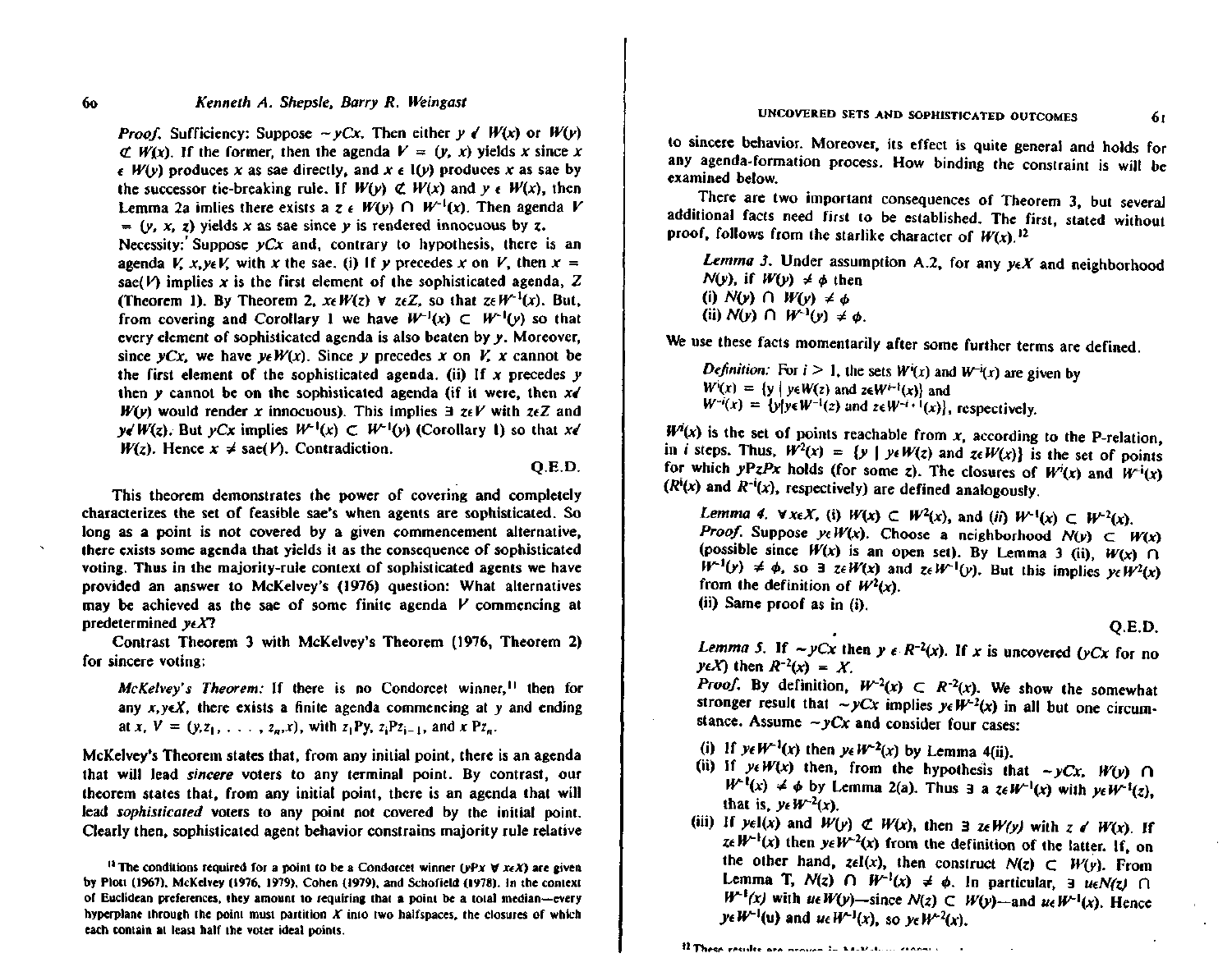## Kenneth A. Shepsle, Barry R. Weingast

*Proof.* Sufficiency: Suppose  $\sim$  vCx. Then either  $\nu \notin W(x)$  or  $W(x)$  $\mathcal{L}$  W(x). If the former, then the agenda  $V = (y, x)$  yields x since x  $\epsilon$  W(y) produces x as sae directly, and x  $\epsilon$  I(y) produces x as sae by the successor tie-breaking rule. If  $W(y) \not\subset W(x)$  and  $y \in W(x)$ , then Lemma 2a imites there exists a z  $\epsilon$  W(y)  $\bigcap W^{-1}(x)$ . Then agenda V =  $(y, x, z)$  yields x as sae since y is rendered innocuous by z. Necessity: Suppose  $yCx$  and, contrary to hypothesis, there is an agenda V, x, yeV, with x the sae, (i) If y precedes x on V, then  $x =$ sae(V) implies x is the first element of the sophisticated agenda,  $Z$ (Theorem 1). By Theorem 2,  $x \in W(z)$   $\forall z \in Z$ , so that  $z \in W^{-1}(x)$ . But, from covering and Corollary 1 we have  $W^{-1}(x) \subset W^{-1}(y)$  so that every element of sophisticated agenda is also beaten by y. Moreover, since  $yCx$ , we have  $y \in W(x)$ . Since v precedes x on V, x cannot be the first element of the sophisticated agenda. (ii) If  $x$  precedes  $y$ then y cannot be on the sophisticated agenda (if it were, then  $x \neq 0$  $W(y)$  would render x innocuous). This implies  $\exists z \in V$  with  $z \in Z$  and  $\nu \in W(z)$ . But  $\nu Cx$  implies  $W^{-1}(x) \subset W^{-1}(y)$  (Corollary 1) so that  $x \in X$  $W(z)$ . Hence  $x \neq$  sae(V). Contradiction.

## $Q.E.D.$

This theorem demonstrates the power of covering and completely characterizes the set of feasible sae's when agents are sophisticated. So long as a point is not covered by a given commencement alternative, there exists some agenda that yields it as the consequence of sophisticated voting. Thus in the majority-rule context of sophisticated agents we have provided an answer to McKelvey's (1976) question: What alternatives may be achieved as the sae of some finite agenda V commencing at predetermined  $v \in X$ ?

Contrast Theorem 3 with McKelvey's Theorem (1976, Theorem 2) for sincere voting:

McKelvey's Theorem: If there is no Condorcet winner.<sup>11</sup> then for any  $x, y \in X$ , there exists a finite agenda commencing at y and ending at x,  $V = (y, z_1, \ldots, z_n, x)$ , with  $z_1Py$ ,  $z_iPz_{i-1}$ , and x  $Pz_n$ .

McKelvey's Theorem states that, from any initial point, there is an agenda that will lead *sincere* voters to any terminal point. By contrast, our theorem states that, from any initial point, there is an agenda that will lead *sophisticated* voters to any point not covered by the initial point, Clearly then, sophisticated agent behavior constrains majority rule relative to sincere behavior. Moreover, its effect is quite general and holds for any agenda-formation process. How binding the constraint is will be examined below.

There are two important consequences of Theorem 3, but several additional facts need first to be established. The first, stated without proof, follows from the starlike character of  $W(x)$ ,  $^{12}$ 

Lemma 3. Under assumption A.2, for any  $y \in X$  and neighborhood  $N(y)$ , if  $W(y) \neq \phi$  then (i)  $N(y)$   $\cap$   $W(y) \neq \phi$ (ii)  $N(y)$   $\cap$   $W^{-1}(y) \neq \phi$ .

We use these facts momentarily after some further terms are defined.

*Definition:* For  $i > 1$ , the sets  $W^i(x)$  and  $W^{-i}(x)$  are given by  $W^{i}(x) = \{y \mid y \in W(z) \text{ and } z \in W^{i-1}(x)\}\$  and  $W^{-i}(x) = {y|y \in W^{-1}(z)}$  and  $z \in W^{-i+1}(x)$ , respectively.

 $W^{i}(x)$  is the set of points reachable from x, according to the P-relation. in *i* steps. Thus,  $W^2(x) = {y | y \in W(z) \text{ and } x \in W(x)}$  is the set of points for which yPzPx holds (for some z). The closures of  $W^{i}(x)$  and  $W^{-i}(x)$  $(R^{i}(x)$  and  $R^{-i}(x)$ , respectively) are defined analogously.

Lemma 4.  $\forall x \in X$ , (i)  $W(x) \subset W^2(x)$ , and (ii)  $W^{-1}(x) \subset W^{-2}(x)$ . *Proof.* Suppose  $y \in W(x)$ . Choose a neighborhood  $N(y) \subset W(x)$ (possible since  $W(x)$  is an open set). By Lemma 3 (ii),  $W(x)$   $\cap$  $W^{-1}(y) \neq \phi$ , so  $\exists$  ze  $W(x)$  and ze  $W^{-1}(y)$ . But this implies  $v \in W^2(x)$ from the definition of  $W^2(x)$ . (ii) Same proof as in (i).

 $O.E.D.$ 

61

Lemma 5. If  $\sim yCx$  then  $y \in R^{-2}(x)$ . If x is uncovered (yCx for no  $y \in X$  then  $R^{-2}(x) = X$ .

*Proof.* By definition,  $W^{-2}(x) \subset R^{-2}(x)$ . We show the somewhat stronger result that  $\sim yCx$  implies  $yeW^{-2}(x)$  in all but one circumstance. Assume  $-yCx$  and consider four cases:

- (i) If  $y \in W^{-1}(x)$  then  $y \in W^{-2}(x)$  by Lemma 4(ii).
- (ii) If  $y \in W(x)$  then, from the hypothesis that  $-yCx$ ,  $W(y)$   $\cap$  $W^{-1}(x) \neq \phi$  by Lemma 2(a). Thus 3 a  $z \in W^{-1}(x)$  with  $yeW^{-1}(z)$ . that is,  $v \in W^{-2}(x)$ .
- (iii) If  $y \in I(x)$  and  $W(y) \not\subset W(x)$ , then 3  $z \in W(y)$  with  $z \in W(x)$ . If  $z \in W^{-1}(x)$  then  $y \in W^{-2}(x)$  from the definition of the latter. If, on the other hand,  $z\in I(x)$ , then construct  $N(z) \subset W(y)$ . From Lemma T,  $N(z)$   $\cap$   $W^{-1}(x) \neq \phi$ . In particular,  $\exists$  ue $N(z)$   $\cap$  $W^{-1}(x)$  with ue  $W(y)$ —since  $N(z) \subset W(y)$ —and ue  $W^{-1}(x)$ . Hence  $y \in W^{-1}(u)$  and  $u \in W^{-1}(x)$ , so  $v \in W^{-2}(x)$ .

12 These results are neovember to know their reconsts

<sup>&</sup>lt;sup>11</sup> The conditions required for a point to be a Condorcet winner ( $vPx \forall x \in X$ ) are given by Plott (1967), McKelvey (1976, 1979), Cohen (1979), and Schofield (1978). In the context of Euclidean preferences, they amount to requiring that a point be a total median--every hyperplane through the point must partition  $X$  into two halfspaces, the closures of which each contain at least half the voter ideal points.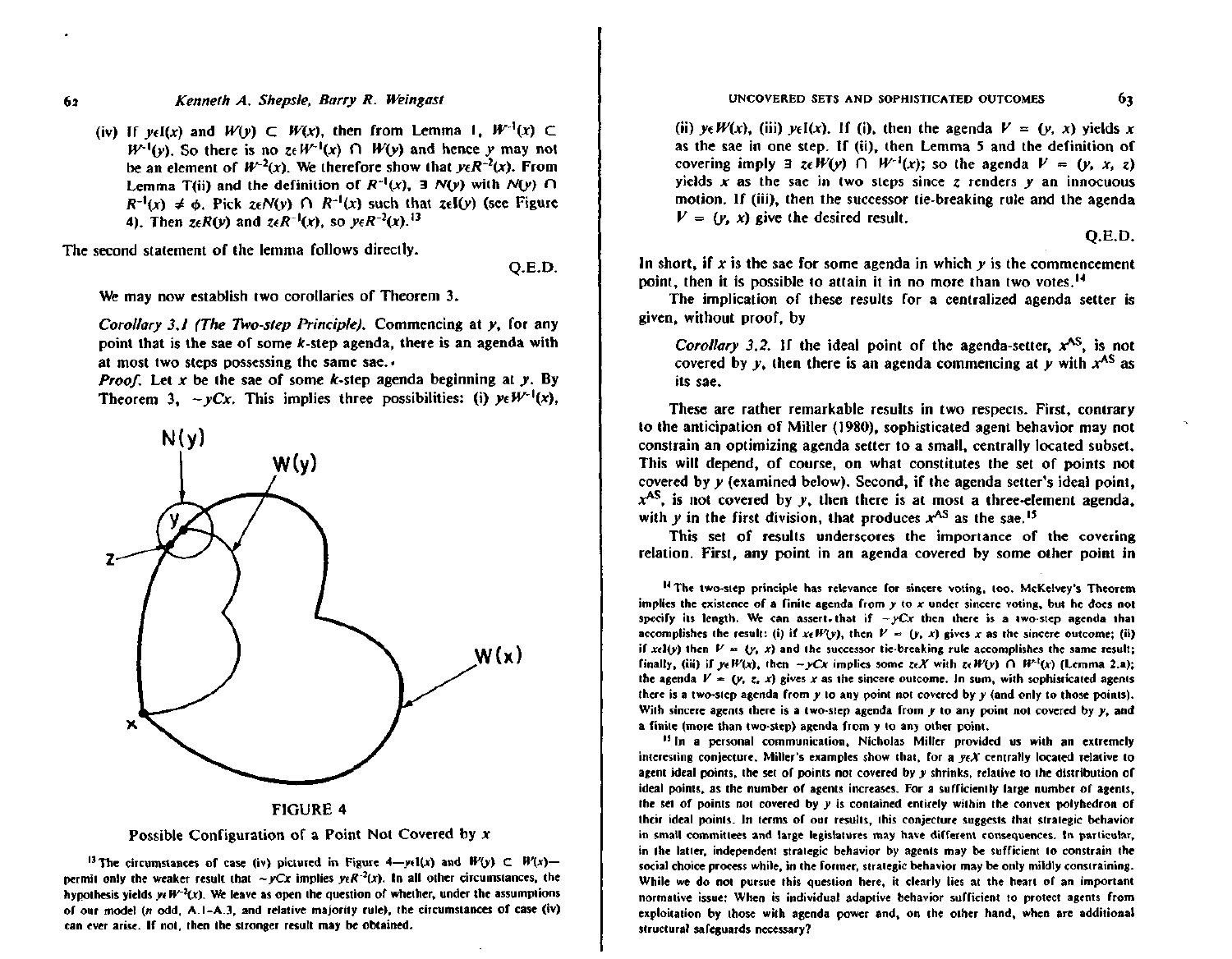(iv) If  $y \in I(x)$  and  $W(y) \subset W(x)$ , then from Lemma 1,  $W^{-1}(x) \subset$  $W^{-1}(v)$ . So there is no  $z \in W^{-1}(x)$   $\cap$   $W(v)$  and hence y may not be an element of  $W^{-2}(x)$ . We therefore show that  $y \in R^{-2}(x)$ . From Lemma T(ii) and the definition of  $R^{-1}(x)$ , 3  $N(y)$  with  $N(y)$   $\cap$  $R^{-1}(x) \neq \phi$ . Pick  $z \in N(y)$   $\bigcap R^{-1}(x)$  such that  $z \in I(y)$  (see Figure 4). Then  $z \in R(y)$  and  $z \in R^{-1}(x)$ , so  $y \in R^{-2}(x)$ . <sup>13</sup>

The second statement of the lemma follows directly.

Q.E.D.

We may now establish two corollaries of Theorem 3.

Corollary 3.1 (The Two-step Principle). Commencing at y, for any point that is the sae of some  $k$ -step agenda, there is an agenda with at most two steps possessing the same sae.

*Proof.* Let x be the sae of some  $k$ -step agenda beginning at y. By Theorem 3.  $-\nu Cx$ . This implies three possibilities: (i)  $\nu \in W^{-1}(x)$ .





<sup>13</sup> The circumstances of case (iv) pictured in Figure 4-yel(x) and  $W(y) \subset W(x)$ permit only the weaker result that ~  $yCx$  implies  $y \in R^{-2}(x)$ . In all other circumstances, the hypothesis yields  $yeW^{-2}(x)$ . We leave as open the question of whether, under the assumptions of our model (n odd, A.1-A.3, and relative majority rule), the circumstances of case (iv) can ever arise. If not, then the stronger result may be obtained.

(ii)  $y \in W(x)$ , (iii)  $y \in I(x)$ . If (i), then the agenda  $V = (y, x)$  yields x as the sae in one step. If (ii), then Lemma 5 and the definition of covering imply  $\exists z \in W(y)$   $\cap W^{-1}(x)$ ; so the agenda  $V = (y, x, z)$ yields x as the sae in two steps since z renders  $y$  an innocuous motion. If (iii), then the successor tie-breaking rule and the agenda  $V = (v, x)$  give the desired result.

 $O.E.D.$ 

63

In short, if x is the sae for some agenda in which  $y$  is the commencement point, then it is possible to attain it in no more than two votes.<sup>14</sup>

The implication of these results for a centralized agenda setter is given, without proof, by

Corollary 3.2. If the ideal point of the agenda-setter,  $x^{AS}$ , is not covered by v, then there is an agenda commencing at v with  $x^{AS}$  as its sae.

These are rather remarkable results in two respects. First, contrary to the anticipation of Miller (1980), sophisticated agent behavior may not constrain an optimizing agenda setter to a small, centrally located subset. This will depend, of course, on what constitutes the set of points not covered by v (examined below). Second, if the agenda setter's ideal point.  $x^{AS}$ , is not covered by y, then there is at most a three-element agenda. with y in the first division, that produces  $x^{AS}$  as the sae.<sup>15</sup>

This set of results underscores the importance of the covering relation. First, any point in an agenda covered by some other point in

<sup>14</sup> The two-step principle has relevance for sincere voting, too. McKelvey's Theorem implies the existence of a finite agenda from  $y$  to  $x$  under sincere voting, but he does not specify its length. We can assert, that if  $\sim yCx$  then there is a two-step agenda that accomplishes the result: (i) if  $x \in W(y)$ , then  $V = (y, x)$  gives x as the sincere outcome; (ii) if xel(y) then  $V = (y, x)$  and the successor tie-breaking rule accomplishes the same result: finally, (iii) if  $wW(x)$ , then  $-wCx$  implies some  $z \in X$  with  $z \in W(x)$   $\cap W^1(x)$  (Lemma 2.a): the agenda  $V = (y, z, x)$  gives x as the sincere outcome. In sum, with sophisticated agents there is a two-step agenda from  $y$  to any point not covered by  $y$  (and only to those points). With sincere agents there is a two-step agenda from  $y$  to any point not covered by  $y$ , and a finite (more than two-step) agenda from y to any other point.

<sup>15</sup> In a personal communication, Nicholas Miller provided us with an extremely interesting conjecture. Miller's examples show that, for a  $y \in X$  centrally located relative to agent ideal points, the set of points not covered by y shrinks, relative to the distribution of ideal points, as the number of agents increases. For a sufficiently large number of agents, the set of points not covered by y is contained entirely within the convex polyhedron of their ideal points. In terms of our results, this conjecture suggests that strategic behavior in small committees and large legislatures may have different consequences. In particular, in the latter, independent strategic behavior by agents may be sufficient to constrain the social choice process while, in the former, strategic behavior may be only mildly constraining. While we do not pursue this question here, it clearly lies at the heart of an important normative issue: When is individual adaptive behavior sufficient to protect agents from exploitation by those with agenda power and, on the other hand, when are additional structural safeguards necessary?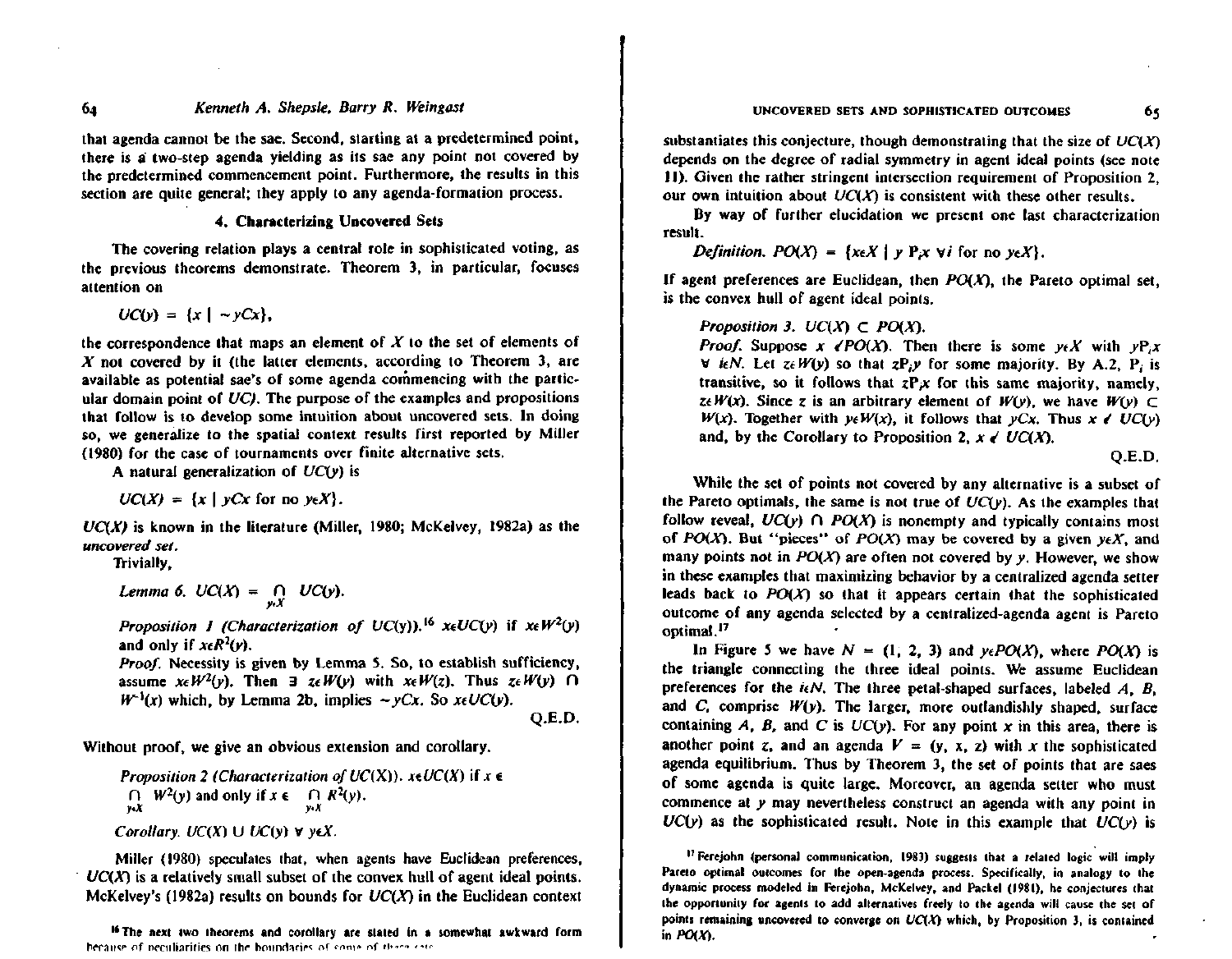## UNCOVERED SETS AND SOPHISTICATED OUTCOMES

that agenda cannot be the sae. Second, starting at a predetermined point, there is a two-step agenda vielding as its sae any point not covered by the predetermined commencement point. Furthermore, the results in this section are quite general; they apply to any agenda-formation process.

## 4. Characterizing Uncovered Sets

The covering relation plays a central role in sophisticated voting, as the previous theorems demonstrate. Theorem 3, in particular, focuses attention on

 $UC(y) = \{x \mid -yCx\}.$ 

the correspondence that maps an element of  $X$  to the set of elements of  $X$  not covered by it (the latter elements, according to Theorem 3, are available as potential sae's of some agenda commencing with the particular domain point of  $UC$ ). The purpose of the examples and propositions that follow is to develop some intuition about uncovered sets. In doing so, we generalize to the spatial context results first reported by Miller (1980) for the case of tournaments over finite alternative sets.

A natural generalization of  $UC(y)$  is

 $UC(X) = \{x \mid yCx \text{ for no } y \in X\}.$ 

 $UC(X)$  is known in the literature (Miller, 1980; McKelvey, 1982a) as the uncovered set.

Trivially.

Lemma 6.  $UC(X) = \bigcap_{y \in X} UC(y)$ .

Proposition 1 (Characterization of UC(y)).<sup>16</sup>  $x \in UC(y)$  if  $x \in W^2(y)$ and only if  $x \in R^2(\nu)$ .

*Proof.* Necessity is given by Lemma 5. So, to establish sufficiency, assume  $x \in W^2(y)$ . Then  $\exists z \in W(y)$  with  $x \in W(z)$ . Thus  $z \in W(y)$   $\cap$  $W^{-1}(x)$  which, by Lemma 2b, implies  $\sim yCx$ . So  $xeUC(y)$ .

 $Q.E.D.$ 

Without proof, we give an obvious extension and corollary.

**Proposition 2 (Characterization of UC(X)).**  $x \in UC(X)$  **if**  $x \in$  $\bigcap_{y\in X} W^2(y)$  and only if  $x \in \bigcap_{y\in X} R^2(y)$ . Corollary.  $UC(X) \cup UC(y) \vee y \in X$ .

Miller (1980) speculates that, when agents have Euclidean preferences,  $UC(X)$  is a relatively small subset of the convex hull of agent ideal points. McKelvey's (1982a) results on bounds for  $UC(X)$  in the Euclidean context

<sup>16</sup> The next two theorems and corollary are stated in a somewhat awkward form because of neculiarities on the boundaries of some of these sate

substantiates this conjecture, though demonstrating that the size of  $UC(X)$ depends on the degree of radial symmetry in agent ideal points (see note 11). Given the rather stringent intersection requirement of Proposition 2. our own intuition about  $UC(X)$  is consistent with these other results.

By way of further elucidation we present one last characterization result.

*Definition.*  $PO(X) = \{x \in X | y \in Y : y \in Y \}$  for no  $y \in X\}$ .

If agent preferences are Euclidean, then  $PO(X)$ , the Pareto optimal set, is the convex hull of agent ideal points.

## Proposition 3.  $UC(X) \subset PO(X)$ .

*Proof.* Suppose  $x \in PO(X)$ . Then there is some  $y \in X$  with  $yP_i x$  $\forall$  ieN. Let  $z \in W(y)$  so that  $zP_i y$  for some majority. By A.2, P<sub>i</sub> is transitive, so it follows that  $zP_x$  for this same majority, namely, zeW(x). Since z is an arbitrary element of W(y), we have  $W(y) \subset$  $W(x)$ . Together with  $y \in W(x)$ , it follows that  $yCx$ . Thus  $x \in UC(y)$ and, by the Corollary to Proposition 2,  $x \in UC(X)$ .

 $O.E.D.$ 

65

While the set of points not covered by any alternative is a subset of the Pareto optimals, the same is not true of  $UC(y)$ . As the examples that follow reveal,  $UC(y)$   $\cap$   $PO(X)$  is nonempty and typically contains most of PO(X). But "pieces" of PO(X) may be covered by a given  $y \in X$ , and many points not in  $PO(X)$  are often not covered by y. However, we show in these examples that maximizing behavior by a centralized agenda setter leads back to  $PO(X)$  so that it appears certain that the sophisticated outcome of any agenda selected by a centralized-agenda agent is Pareto optimal.<sup>17</sup>

In Figure 5 we have  $N = (1, 2, 3)$  and  $y \in PO(X)$ , where  $PO(X)$  is the triangle connecting the three ideal points. We assume Euclidean preferences for the  $i\epsilon N$ . The three petal-shaped surfaces, labeled A, B, and  $C$ , comprise  $W(y)$ . The larger, more outlandishly shaped, surface containing  $A$ ,  $B$ , and  $C$  is  $UC(y)$ . For any point  $x$  in this area, there is another point z, and an agenda  $V = (y, x, z)$  with x the sophisticated agenda equilibrium. Thus by Theorem 3, the set of points that are saes of some agenda is quite large. Moreover, an agenda setter who must commence at y may nevertheless construct an agenda with any point in  $UC(y)$  as the sophisticated result. Note in this example that  $UC(y)$  is

<sup>17</sup> Ferejohn (personal communication, 1983) suggests that a related logic will imply Pareto optimal outcomes for the open-agenda process. Specifically, in analogy to the dynamic process modeled in Ferejoha, McKelvey, and Packel (1981), he conjectures that the opportunity for agents to add alternatives freely to the agenda will cause the set of points remaining uncovered to converge on  $UC(X)$  which, by Proposition 3, is contained in  $POX$ .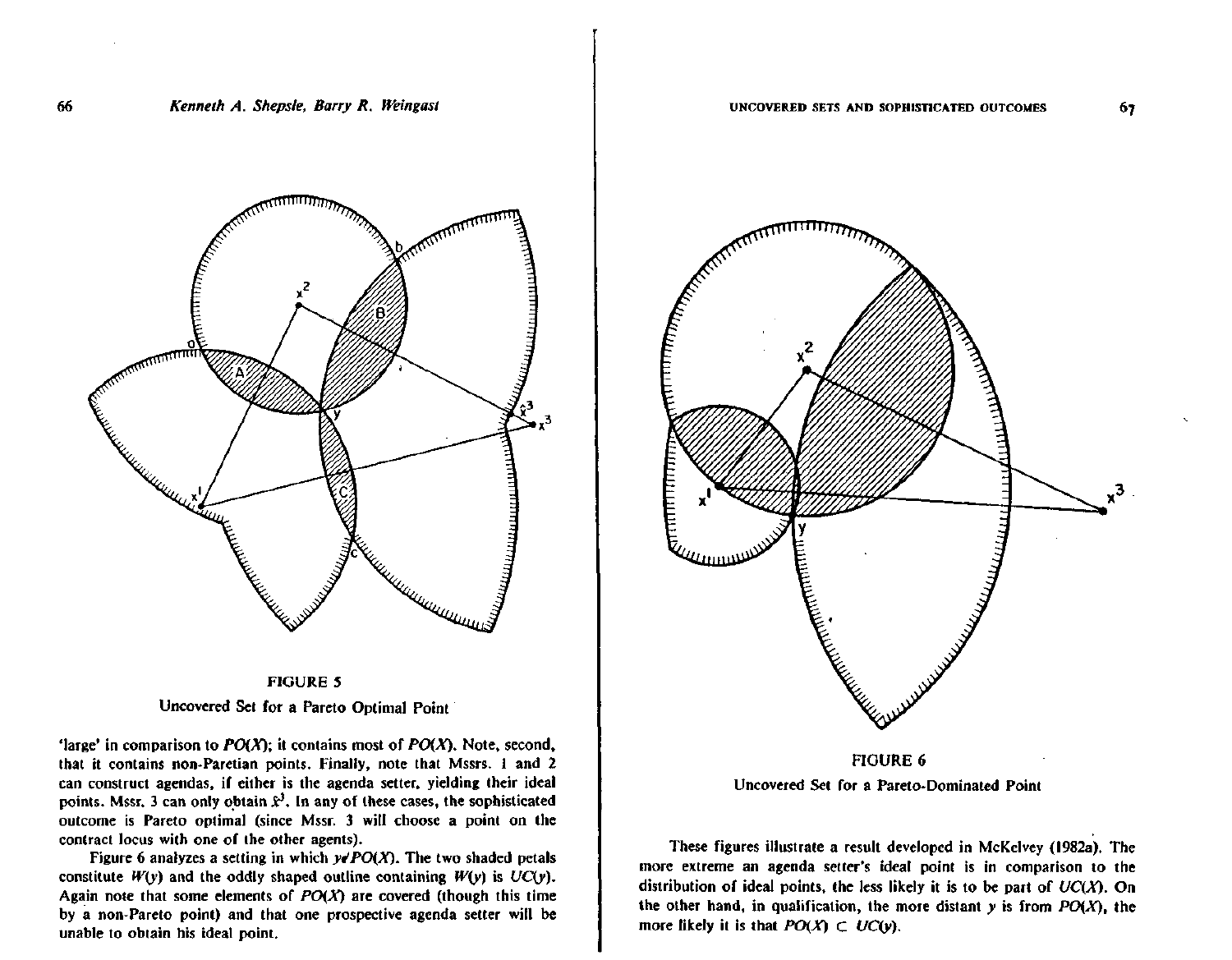

**FIGURE 5** Uncovered Set for a Pareto Optimal Point

'large' in comparison to  $PO(X)$ ; it contains most of  $PO(X)$ . Note, second, that it contains non-Paretian points. Finally, note that Mssrs. 1 and 2 can construct agendas, if either is the agenda setter, yielding their ideal points. Mssr, 3 can only obtain  $\hat{x}^3$ . In any of these cases, the sophisticated outcome is Pareto optimal (since Mssr. 3 will choose a point on the contract locus with one of the other agents).

Figure 6 analyzes a setting in which  $y \neq PO(X)$ . The two shaded petals constitute  $W(y)$  and the oddly shaped outline containing  $W(y)$  is  $UC(y)$ . Again note that some elements of  $PO(X)$  are covered (though this time by a non-Pareto point) and that one prospective agenda setter will be unable to obtain his ideal point.



Uncovered Set for a Pareto-Dominated Point

These figures illustrate a result developed in McKelvey (1982a). The more extreme an agenda setter's ideal point is in comparison to the distribution of ideal points, the less likely it is to be part of  $UC(X)$ . On the other hand, in qualification, the more distant  $y$  is from  $PO(X)$ , the more likely it is that  $PO(X) \subset UC(v)$ ,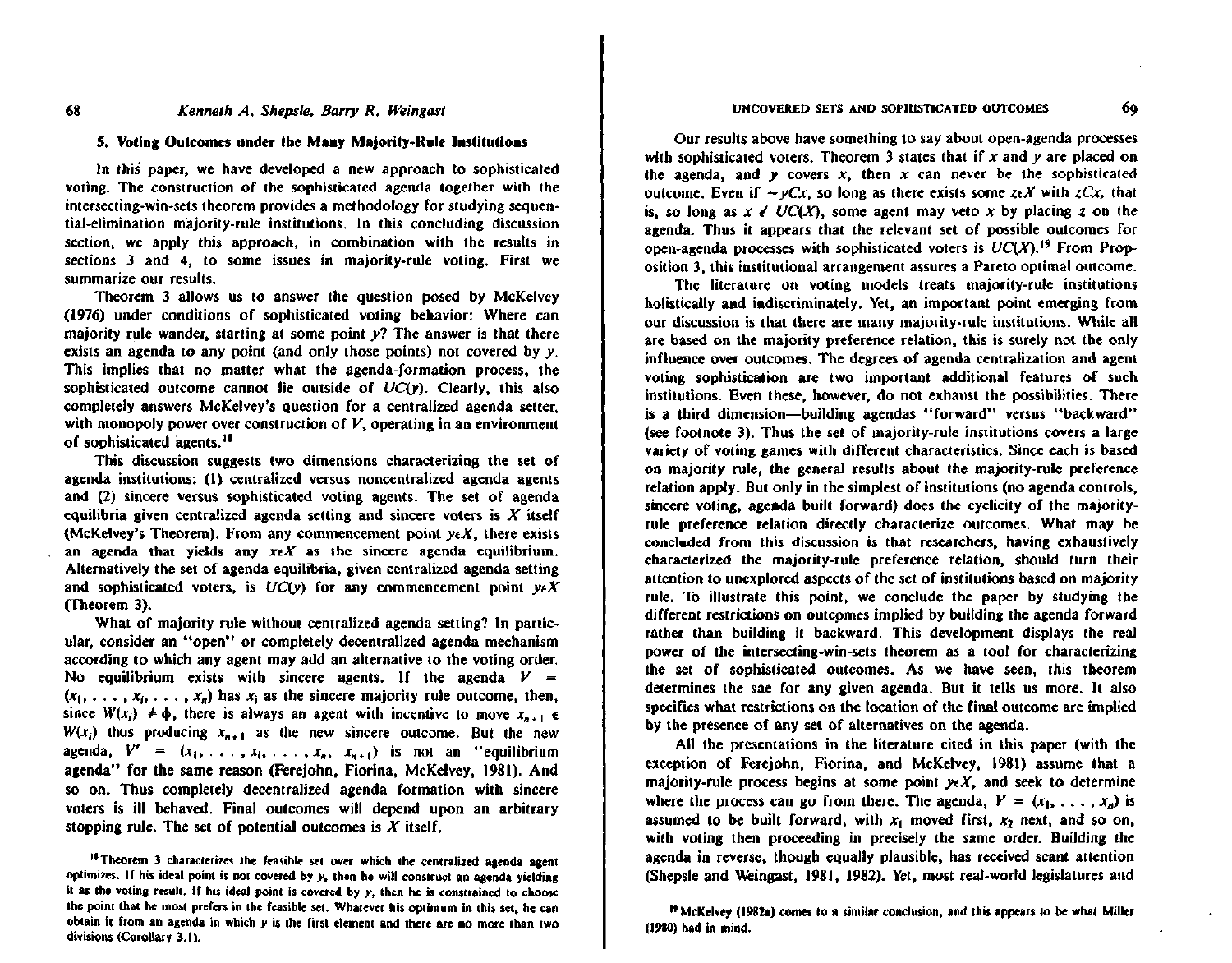#### 5. Voting Outcomes under the Many Majority-Rule Institutions

In this paper, we have developed a new approach to sophisticated voting. The construction of the sophisticated agenda together with the intersecting-win-sets theorem provides a methodology for studying sequential-elimination majority-rule institutions. In this concluding discussion section, we apply this approach, in combination with the results in sections 3 and 4, to some issues in majority-rule voting. First we summarize our results.

Theorem 3 allows us to answer the question posed by McKelvey (1976) under conditions of sophisticated voting behavior: Where can majority rule wander, starting at some point y? The answer is that there exists an agenda to any point (and only those points) not covered by  $y$ . This implies that no matter what the agenda-formation process, the sophisticated outcome cannot lie outside of  $UC(v)$ . Clearly, this also completely answers McKelvey's question for a centralized agenda setter. with monopoly power over construction of  $V$ , operating in an environment of sophisticated agents.<sup>18</sup>

This discussion suggests two dimensions characterizing the set of agenda institutions: (1) centralized versus noncentralized agenda agents and (2) sincere versus sophisticated voting agents. The set of agenda equilibria given centralized agenda setting and sincere voters is  $X$  itself (McKelvey's Theorem). From any commencement point  $y \in X$ , there exists an agenda that yields any  $x \in X$  as the sincere agenda equilibrium. Alternatively the set of agenda equilibria, given centralized agenda setting and sophisticated voters, is  $UC(y)$  for any commencement point  $y \in X$ (Theorem 3).

What of majority rule without centralized agenda setting? In particular, consider an "open" or completely decentralized agenda mechanism according to which any agent may add an alternative to the voting order. No equilibrium exists with sincere agents. If the agenda  $V =$  $(x_1, \ldots, x_i, \ldots, x_n)$  has  $x_i$  as the sincere majority rule outcome, then, since  $W(x_i) \neq \phi$ , there is always an agent with incentive to move  $x_{n+1} \in$  $W(x_i)$  thus producing  $x_{n+1}$  as the new sincere outcome. But the new agenda,  $V' = (x_1, \ldots, x_i, \ldots, x_n, x_{n+1})$  is not an "equilibrium agenda" for the same reason (Ferejohn, Fiorina, McKelvey, 1981). And so on. Thus completely decentralized agenda formation with sincere voters is ill behaved. Final outcomes will depend upon an arbitrary stopping rule. The set of potential outcomes is  $X$  itself.

<sup>16</sup> Theorem 3 characterizes the feasible set over which the centralized agenda agent optimizes. If his ideal point is not covered by  $y<sub>i</sub>$ , then he will construct an agenda yielding it as the voting result. If his ideal point is covered by y, then he is constrained to choose the point that he most prefers in the feasible set. Whatever his optimum in this set, he can obtain it from an agenda in which  $y$  is the first element and there are no more than two divisions (Corollary 3.1).

Our results above have something to say about open-agenda processes with sophisticated voters. Theorem 3 states that if x and y are placed on the agenda, and y covers  $x<sub>i</sub>$ , then x can never be the sophisticated outcome, Even if  $-\gamma Cx$ , so long as there exists some  $z \in X$  with  $z Cx$ , that is, so long as  $x \in UC(X)$ , some agent may veto x by placing z on the agenda. Thus it appears that the relevant set of possible outcomes for open-agenda processes with sophisticated voters is  $UC(X)$ .<sup>19</sup> From Proposition 3, this institutional arrangement assures a Pareto optimal outcome.

The literature on voting models treats majority-rule institutions holistically and indiscriminately. Yet, an important point emerging from our discussion is that there are many majority-rule institutions. While all are based on the majority preference relation, this is surely not the only influence over outcomes. The degrees of agenda centralization and agent voting sophistication are two important additional features of such institutions. Even these, however, do not exhaust the possibilities. There is a third dimension—building agendas "forward" versus "backward" (see footnote 3). Thus the set of majority-rule institutions covers a large variety of voting games with different characteristics. Since each is based on majority rule, the general results about the majority-rule preference relation apply. But only in the simplest of institutions (no agenda controls, sincere voting, agenda built forward) does the cyclicity of the majorityrule preference relation directly characterize outcomes. What may be concluded from this discussion is that researchers, having exhaustively characterized the majority-rule preference relation, should turn their attention to unexplored aspects of the set of institutions based on majority rule. To illustrate this point, we conclude the paper by studying the different restrictions on outcomes implied by building the agenda forward rather than building it backward. This development displays the real power of the intersecting-win-sets theorem as a tool for characterizing the set of sophisticated outcomes. As we have seen, this theorem determines the sae for any given agenda. But it tells us more, It also specifies what restrictions on the location of the final outcome are implied by the presence of any set of alternatives on the agenda.

All the presentations in the literature cited in this paper (with the exception of Ferejohn, Fiorina, and McKelvey, 1981) assume that a majority-rule process begins at some point  $y \in X$ , and seek to determine where the process can go from there. The agenda,  $V = (x_1, \ldots, x_n)$  is assumed to be built forward, with  $x_1$  moved first,  $x_2$  next, and so on, with voting then proceeding in precisely the same order. Building the agenda in reverse, though equally plausible, has received scant attention (Shepsle and Weingast, 1981, 1982). Yet, most real-world legislatures and

<sup>19</sup> McKelvey (1982a) comes to a similar conclusion, and this appears to be what Miller (1980) had in mind.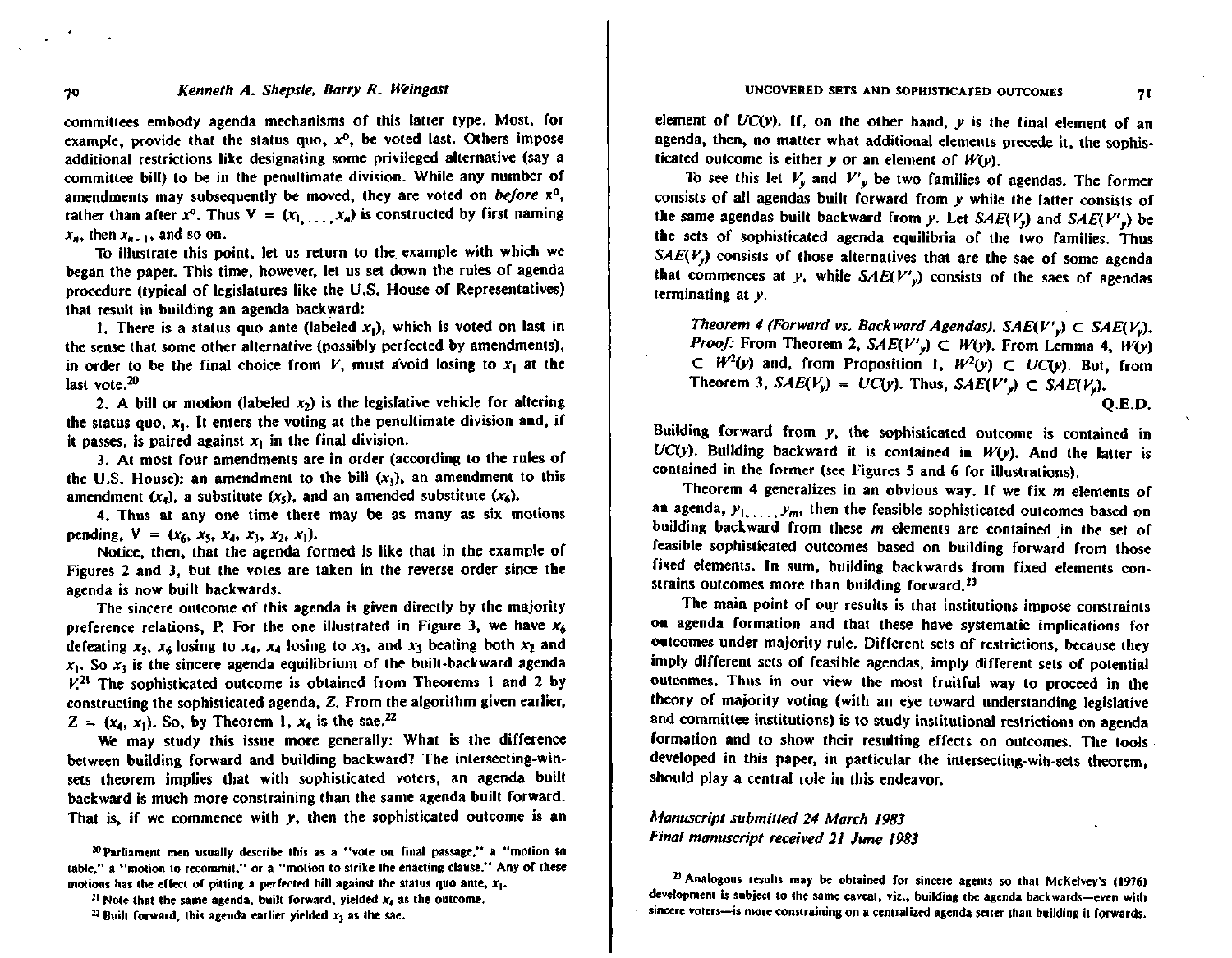committees embody agenda mechanisms of this latter type. Most, for example, provide that the status quo,  $x^0$ , be voted last. Others impose additional restrictions like designating some privileged alternative (say a committee bill) to be in the penultimate division. While any number of amendments may subsequently be moved, they are voted on before x<sup>o</sup>. rather than after  $x^0$ . Thus  $V = (x_1, \ldots, x_n)$  is constructed by first naming  $x_n$ , then  $x_{n-1}$ , and so on.

To illustrate this point, let us return to the example with which we began the paper. This time, however, let us set down the rules of agenda procedure (typical of legislatures like the U.S. House of Representatives) that result in building an agenda backward:

1. There is a status quo ante (labeled  $x_1$ ), which is voted on last in the sense that some other alternative (possibly perfected by amendments), in order to be the final choice from V, must avoid losing to  $x_1$  at the last vote. $20$ 

2. A bill or motion (labeled  $x_2$ ) is the legislative vehicle for altering the status quo,  $x_1$ . It enters the voting at the penultimate division and, if it passes, is paired against  $x_1$  in the final division.

3. At most four amendments are in order (according to the rules of the U.S. House): an amendment to the bill  $(x_1)$ , an amendment to this amendment  $(x_4)$ , a substitute  $(x_5)$ , and an amended substitute  $(x_6)$ .

4. Thus at any one time there may be as many as six motions pending,  $V = (x_6, x_5, x_4, x_1, x_2, x_1).$ 

Notice, then, that the agenda formed is like that in the example of Figures 2 and 3, but the votes are taken in the reverse order since the agenda is now built backwards.

The sincere outcome of this agenda is given directly by the majority preference relations, P. For the one illustrated in Figure 3, we have  $x_6$ defeating  $x_5$ ,  $x_6$  losing to  $x_4$ ,  $x_4$  losing to  $x_3$ , and  $x_3$  beating both  $x_2$  and  $x_1$ . So  $x_2$  is the sincere agenda equilibrium of the built-backward agenda  $V<sup>21</sup>$  The sophisticated outcome is obtained from Theorems 1 and 2 by constructing the sophisticated agenda, Z. From the algorithm given earlier.  $Z = (x_4, x_1)$ . So, by Theorem 1,  $x_4$  is the sae.<sup>22</sup>

We may study this issue more generally: What is the difference between building forward and building backward? The intersecting-winsets theorem implies that with sophisticated voters, an agenda built backward is much more constraining than the same agenda built forward. That is, if we commence with y, then the sophisticated outcome is an

20 Parliament men usually describe this as a "vote on final passage," a "motion to table." a "motion to recommit," or a "motion to strike the enacting clause," Any of these motions has the effect of oitting a perfected bill against the status quo ante,  $x_1$ .

element of  $UC(y)$ . If, on the other hand,  $y$  is the final element of an agenda, then, no matter what additional elements precede it, the sophisticated outcome is either  $y$  or an element of  $W(y)$ .

To see this let  $V_v$  and  $V'_v$  be two families of agendas. The former consists of all agendas built forward from y while the latter consists of the same agendas built backward from y. Let  $SAE(V<sub>v</sub>)$  and  $SAE(V')$ ,) be the sets of sophisticated agenda equilibria of the two families. Thus  $SAE(V_n)$  consists of those alternatives that are the sae of some agenda that commences at y, while  $SAE(V')$  consists of the saes of agendas terminating at y.

Theorem 4 (Forward vs. Backward Agendas).  $SAE(V') \subset SAE(V_u)$ . *Proof:* From Theorem 2,  $SAE(V', ) \subset W(y)$ . From Lemma 4,  $W(y)$  $\subset$   $W^2(y)$  and, from Proposition 1,  $W^2(y)$   $\subset$   $UC(y)$ . But, from Theorem 3,  $SAE(V_v) = UC(v)$ . Thus,  $SAE(V', v) \subset SAE(V_v)$ .

 $O.E.D.$ 

Building forward from y, the sophisticated outcome is contained in  $UC(y)$ . Building backward it is contained in  $W(y)$ . And the latter is contained in the former (see Figures 5 and 6 for illustrations).

Theorem 4 generalizes in an obvious way. If we fix  $m$  elements of an agenda,  $y_1, \ldots, y_m$ , then the feasible sophisticated outcomes based on building backward from these  $m$  elements are contained in the set of feasible sophisticated outcomes based on building forward from those fixed elements. In sum, building backwards from fixed elements constrains outcomes more than building forward.<sup>23</sup>

The main point of our results is that institutions impose constraints on agenda formation and that these have systematic implications for outcomes under majority rule. Different sets of restrictions, because they imply different sets of feasible agendas, imply different sets of potential outcomes. Thus in our view the most fruitful way to proceed in the theory of majority voting (with an eye toward understanding legislative and committee institutions) is to study institutional restrictions on agenda formation and to show their resulting effects on outcomes. The tools developed in this paper, in particular the intersecting-win-sets theorem, should play a central role in this endeavor.

## Manuscript submitted 24 March 1983 Final manuscript received 21 June 1983

<sup>23</sup> Analogous results may be obtained for sincere agents so that McKelvey's (1976) development is subject to the same caveat, viz., building the agenda backwards-even with sincere voters-is more constraining on a centralized agenda setter than building it forwards.

<sup>&</sup>lt;sup>21</sup> Note that the same agenda, built forward, vielded  $x_4$  as the outcome,

<sup>&</sup>lt;sup>22</sup> Built forward, this agenda earlier yielded  $x_3$  as the sae.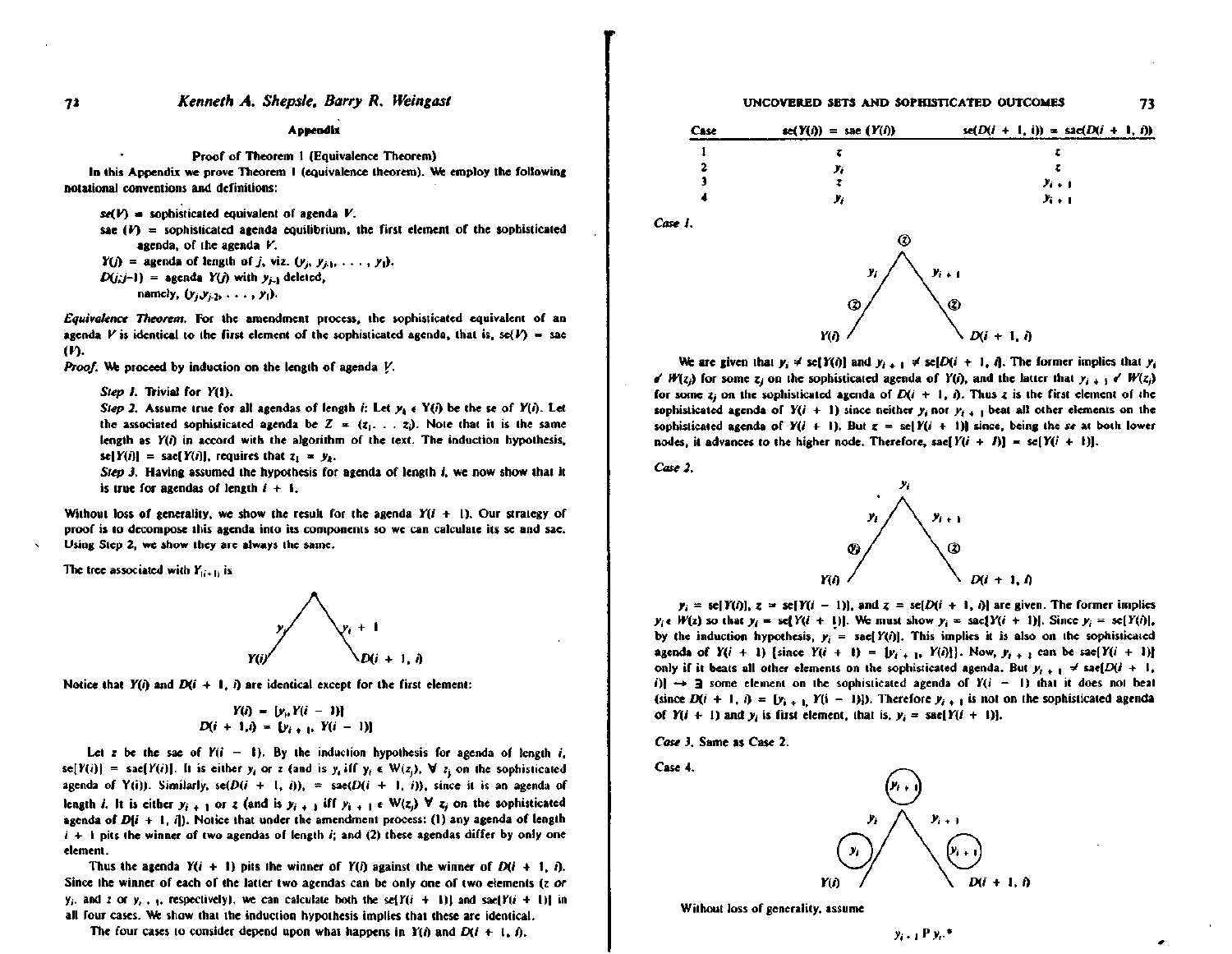#### Kenneth A. Shepsle, Barry R. Weingast

#### Appendix

#### Proof of Theorem 1 (Equivalence Theorem)

In this Appendix we prove Theorem 1 (equivalence theorem). We employ the following notational conventions and definitions:

- $se(V)$  = sophisticated equivalent of agenda V.
- sae  $(V)$  = sophisticated agenda equilibrium, the first element of the sophisticated agenda, of the agenda V.
- $Y(j)$  = agenda of length of j, viz.  $(y_j, y_{j+1}, \ldots, y_1)$ .
- $D(j;j-1)$  = agenda  $Y(j)$  with  $y_{j-1}$  deleted,
	- namely,  $(y_j, y_{j+2}, \ldots, y_l)$ .

Equivalence Theorem. For the amendment process, the sophisticated equivalent of an agenda V is identical to the first element of the sophisticated agenda, that is, se(V) = sae  $(n)$ .

Proof. We proceed by induction on the length of agenda V.

Step 1. Trivial for Y(1).

Step 2. Assume true for all agendas of length i: Let  $y_4 \in Y(i)$  be the se of  $Y(i)$ . Let the associated sophisticated agenda be  $Z = (z_1, \ldots, z_i)$ . Note that it is the same length as  $Y(i)$  in accord with the algorithm of the text. The induction hypothesis, se[Y(i)] = sac[Y(i)], requires that  $z_1 = y_2$ .

Step 3. Having assumed the hypothesis for agenda of length  $i$ , we now show that it is true for agendas of length  $i + 1$ .

Without loss of generality, we show the result for the agenda  $Y(i + 1)$ . Our strategy of proof is to decompose this agenda into its components so we can calculate its se and sae. Using Step 2, we show they are always the same.

The tree associated with  $Y_{(i+1)}$  is



Notice that  $Y(i)$  and  $D(i + 1, i)$  are identical except for the first element:

$$
Y(i) = [y_i, Y(i-1)]
$$
  

$$
D(i + 1, i) = [y_{i+1}, Y(i-1)]
$$

Let z be the sae of  $Y(i - 1)$ . By the induction hypothesis for agenda of length i, se[Y(i)] = sae[Y(i)]. It is either  $y_i$  or z (and is  $y_i$  iff  $y_i \in W(z_i)$ ,  $\forall z_i$  on the sophisticated agenda of Y(i)). Similarly,  $se(D(i + 1, i))$ , =  $se(D(i + 1, i))$ , since it is an agenda of length *i*. It is either  $y_{i+1}$  or z (and is  $y_{i+1}$  iff  $y_{i+1} \in W(z_i)$   $\forall z_i$  on the sophisticated agenda of  $D(i + 1, i)$ . Notice that under the amendment process: (1) any agenda of length  $i + 1$  pits the winner of two agendas of length i; and (2) these agendas differ by only one element.

Thus the agenda  $Y(i + 1)$  pits the winner of  $Y(i)$  against the winner of  $D(i + 1, i)$ . Since the winner of each of the latter two agendas can be only one of two elements (z or  $y_i$ , and z or  $y_i$ ,  $y_i$  respectively), we can calculate both the self  $(i + 1)$  and sael  $Y(i + 1)$  in all four cases. We show that the induction hypothesis implies that these are identical.

The four cases to consider depend upon what happens in  $Y(i)$  and  $D(i + 1, i)$ ,

## UNCOVERED SETS AND SOPHISTICATED OUTCOMES

73

| Case | $sc(Y(i)) =$ sac $(Y(i))$ | $se(D(i + 1, i)) = se(D(i + 1, i))$ |
|------|---------------------------|-------------------------------------|
|      |                           |                                     |
| 2    | у,                        | 7                                   |
|      |                           | $y_{i+1}$                           |
|      | γ,                        | $y_{i+1}$                           |
| ı.   |                           |                                     |
|      | $\overline{\phantom{a}}$  |                                     |



We are given that  $y_i \neq \text{se}[Y(i)]$  and  $y_{i+1} \neq \text{se}[D(i + 1, i]$ . The former implies that  $y_i$  $\mathscr{N}(z_i)$  for some  $z_i$  on the sophisticated agenda of  $Y(i)$ , and the latter that  $y_i \rightarrow \mathscr{N}(z_i)$ for some  $z_i$  on the sophisticated agenda of  $D(i + 1, i)$ . Thus z is the first element of the sophisticated agenda of  $Y(i + 1)$  since neither  $y_i$  nor  $y_{i+1}$  beat all other elements on the sophisticated agenda of  $Y(i + 1)$ . But  $z = selY(i + 1)$  since, being the se at both lower nodes, it advances to the higher node. Therefore, sae[ $Y(i + 1)$ ] = sc[ $Y(i + 1)$ ].

Case 2.

Case



 $y_i = \text{se}[Y(i)]$ ,  $z = \text{se}[Y(i-1)]$ , and  $z = \text{se}[D(i+1, i)]$  are given. The former implies  $y_i \in W(z)$  so that  $y_i = \text{se}[Y(i + 1)]$ . We must show  $y_i = \text{sa}[Y(i + 1)]$ . Since  $y_i = \text{se}[Y(i)]$ , by the induction hypothesis,  $y_i = \text{safe}[Y(i)]$ . This implies it is also on the sophisticated agenda of  $Y(i + 1)$  {since  $Y(i + 1) = [y_{i+1}, Y(i)]$ }. Now,  $y_{i+1}$  can be sac[ $Y(i + 1)$ ] only if it beats all other elements on the sophisticated agenda. But  $y_{i+1} \neq \text{sa}(D(i + 1,$ i)]  $\rightarrow$  3 some element on the sophisticated agenda of  $Y(i - 1)$  that it does not beat (since  $D(i + 1, i) = [y_{i+1}, Y(i - 1)]$ ). Therefore  $y_{i+1}$  is not on the sophisticated agenda of  $Y(i + 1)$  and  $y_i$  is first element, that is,  $y_i = \text{safe}[Y(i + 1)].$ 

Case 3. Same as Case 2.

Case 4.



Without loss of generality, assume

72